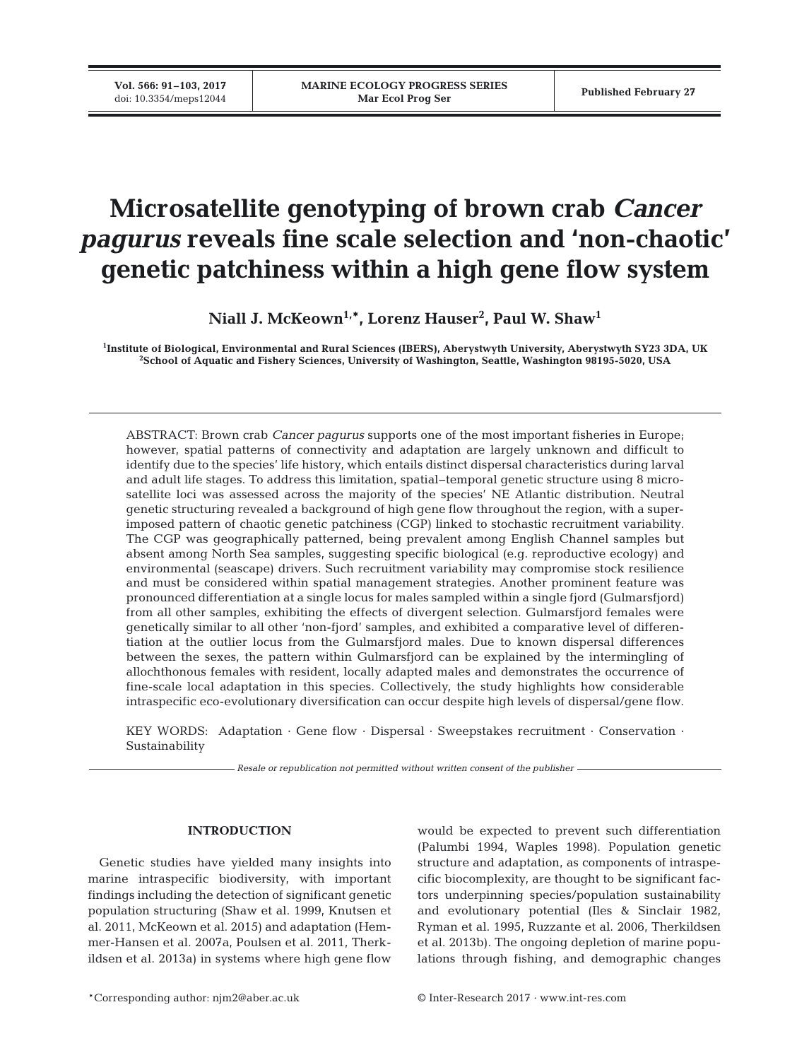**Vol. 566: 91–103, 2017**

# **Microsatellite genotyping of brown crab** *Cancer pagurus* **reveals fine scale selection and 'non-chaotic' genetic patchiness within a high gene flow system**

**Niall J. McKeown1,\*, Lorenz Hauser2 , Paul W. Shaw1**

**1 Institute of Biological, Environmental and Rural Sciences (IBERS), Aberystwyth University, Aberystwyth SY23 3DA, UK 2 School of Aquatic and Fishery Sciences, University of Washington, Seattle, Washington 98195-5020, USA**

ABSTRACT: Brown crab *Cancer pagurus* supports one of the most important fisheries in Europe; however, spatial patterns of connectivity and adaptation are largely unknown and difficult to identify due to the species' life history, which entails distinct dispersal characteristics during larval and adult life stages. To address this limitation, spatial−temporal genetic structure using 8 microsatellite loci was assessed across the majority of the species' NE Atlantic distribution. Neutral genetic structuring revealed a background of high gene flow throughout the region, with a superimposed pattern of chaotic genetic patchiness (CGP) linked to stochastic recruitment variability. The CGP was geographically patterned, being prevalent among English Channel samples but absent among North Sea samples, suggesting specific biological (e.g. reproductive ecology) and environmental (seascape) drivers. Such recruitment variability may compromise stock resilience and must be considered within spatial management strategies. Another prominent feature was pronounced differentiation at a single locus for males sampled within a single fjord (Gulmarsfjord) from all other samples, exhibiting the effects of divergent selection. Gulmarsfjord females were genetically similar to all other 'non-fjord' samples, and exhibited a comparative level of differentiation at the outlier locus from the Gulmarsfjord males. Due to known dispersal differences between the sexes, the pattern within Gulmarsfjord can be explained by the intermingling of allochthonous females with resident, locally adapted males and demonstrates the occurrence of fine-scale local adaptation in this species. Collectively, the study highlights how considerable intraspecific eco-evolutionary diversification can occur despite high levels of dispersal/gene flow.

KEY WORDS: Adaptation · Gene flow · Dispersal · Sweepstakes recruitment · Conservation · Sustainability

*Resale or republication not permitted without written consent of the publisher*

# **INTRODUCTION**

Genetic studies have yielded many insights into marine intraspecific biodiversity, with important findings including the detection of significant genetic population structuring (Shaw et al. 1999, Knutsen et al. 2011, McKeown et al. 2015) and adaptation (Hemmer-Hansen et al. 2007a, Poulsen et al. 2011, Therkildsen et al. 2013a) in systems where high gene flow would be expected to prevent such differentiation (Palumbi 1994, Waples 1998). Population genetic structure and adaptation, as components of intraspecific biocomplexity, are thought to be significant factors underpinning species/population sustainability and evolutionary potential (Iles & Sinclair 1982, Ryman et al. 1995, Ruzzante et al. 2006, Therkildsen et al. 2013b). The ongoing depletion of marine populations through fishing, and demographic changes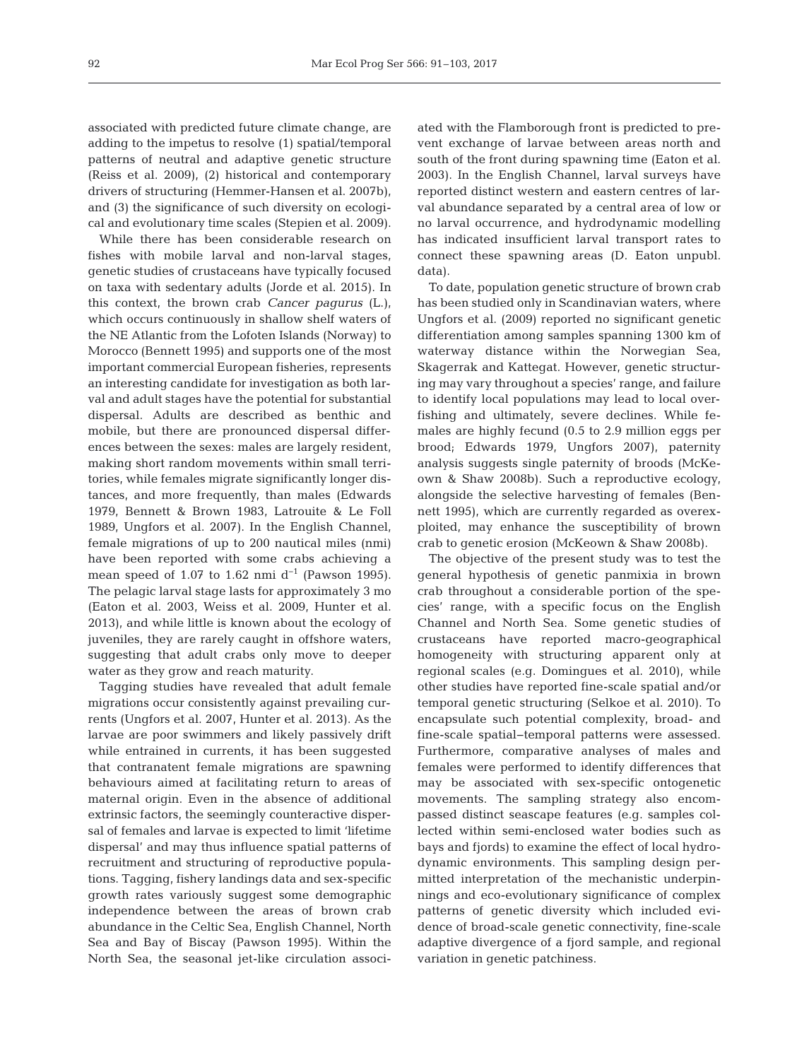associated with predicted future climate change, are adding to the impetus to resolve (1) spatial/temporal patterns of neutral and adaptive genetic structure (Reiss et al. 2009), (2) historical and contemporary drivers of structuring (Hemmer-Hansen et al. 2007b), and (3) the significance of such diversity on ecological and evolutionary time scales (Stepien et al. 2009).

While there has been considerable research on fishes with mobile larval and non-larval stages, genetic studies of crustaceans have typically focused on taxa with sedentary adults (Jorde et al. 2015). In this context, the brown crab *Cancer pagurus* (L.), which occurs continuously in shallow shelf waters of the NE Atlantic from the Lofoten Islands (Norway) to Morocco (Bennett 1995) and supports one of the most important commercial European fisheries, represents an interesting candidate for investigation as both larval and adult stages have the potential for substantial dispersal. Adults are described as benthic and mobile, but there are pronounced dispersal differences between the sexes: males are largely resident, making short random movements within small territories, while females migrate significantly longer distances, and more frequently, than males (Edwards 1979, Bennett & Brown 1983, Latrouite & Le Foll 1989, Ungfors et al. 2007). In the English Channel, female migrations of up to 200 nautical miles (nmi) have been reported with some crabs achieving a mean speed of 1.07 to 1.62 nmi  $d^{-1}$  (Pawson 1995). The pelagic larval stage lasts for approximately 3 mo (Eaton et al. 2003, Weiss et al. 2009, Hunter et al. 2013), and while little is known about the ecology of juveniles, they are rarely caught in offshore waters, suggesting that adult crabs only move to deeper water as they grow and reach maturity.

Tagging studies have revealed that adult female migrations occur consistently against prevailing currents (Ungfors et al. 2007, Hunter et al. 2013). As the larvae are poor swimmers and likely passively drift while entrained in currents, it has been suggested that contranatent female migrations are spawning behaviours aimed at facilitating return to areas of maternal origin. Even in the absence of additional extrinsic factors, the seemingly counteractive dispersal of females and larvae is expected to limit 'lifetime dispersal' and may thus influence spatial patterns of recruitment and structuring of reproductive populations. Tagging, fishery landings data and sex-specific growth rates variously suggest some demographic independence between the areas of brown crab abundance in the Celtic Sea, English Channel, North Sea and Bay of Biscay (Pawson 1995). Within the North Sea, the seasonal jet-like circulation associated with the Flamborough front is predicted to prevent exchange of larvae between areas north and south of the front during spawning time (Eaton et al. 2003). In the English Channel, larval surveys have reported distinct western and eastern centres of larval abundance separated by a central area of low or no larval occurrence, and hydrodynamic modelling has indicated insufficient larval transport rates to connect these spawning areas (D. Eaton unpubl. data).

To date, population genetic structure of brown crab has been studied only in Scandinavian waters, where Ungfors et al. (2009) reported no significant genetic differentiation among samples spanning 1300 km of waterway distance within the Norwegian Sea, Skagerrak and Kattegat. However, genetic structuring may vary throughout a species' range, and failure to identify local populations may lead to local overfishing and ultimately, severe declines. While females are highly fecund (0.5 to 2.9 million eggs per brood; Edwards 1979, Ungfors 2007), paternity analysis suggests single paternity of broods (McKeown & Shaw 2008b). Such a reproductive ecology, alongside the selective harvesting of females (Bennett 1995), which are currently regarded as overexploited, may enhance the susceptibility of brown crab to genetic erosion (McKeown & Shaw 2008b).

The objective of the present study was to test the general hypothesis of genetic panmixia in brown crab throughout a considerable portion of the species' range, with a specific focus on the English Channel and North Sea. Some genetic studies of crusta ceans have reported macro-geographical homogeneity with structuring apparent only at regional scales (e.g. Domingues et al. 2010), while other studies have reported fine-scale spatial and/or temporal genetic structuring (Selkoe et al. 2010). To encapsulate such potential complexity, broad- and fine-scale spatial−temporal patterns were assessed. Furthermore, comparative analyses of males and females were performed to identify differences that may be associated with sex-specific ontogenetic movements. The sampling strategy also encompassed distinct seascape features (e.g. samples collected within semi-enclosed water bodies such as bays and fjords) to examine the effect of local hydrodynamic environments. This sampling design permitted interpretation of the mechanistic underpinnings and eco-evolutionary significance of complex patterns of genetic diversity which included evidence of broad-scale genetic connectivity, fine-scale adaptive divergence of a fjord sample, and regional variation in genetic patchiness.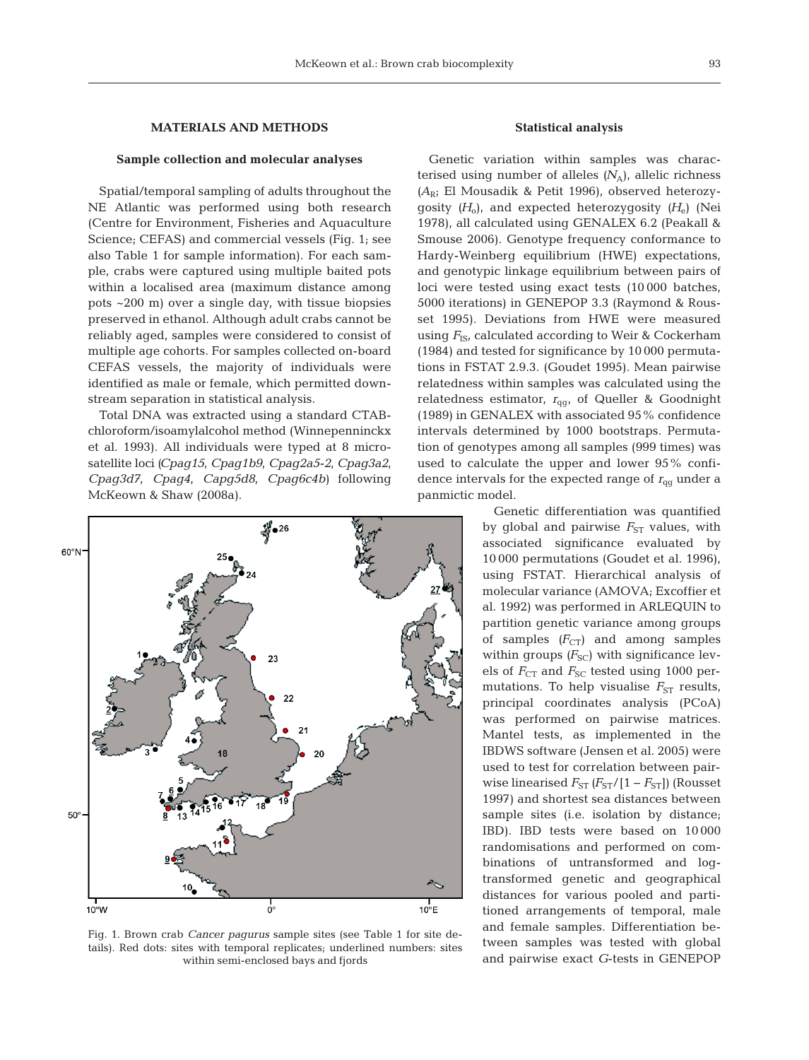## **MATERIALS AND METHODS**

## **Sample collection and molecular analyses**

Spatial/temporal sampling of adults throughout the NE Atlantic was performed using both research (Centre for Environment, Fisheries and Aquaculture Science; CEFAS) and commercial vessels (Fig. 1; see also Table 1 for sample information). For each sample, crabs were captured using multiple baited pots within a localised area (maximum distance among pots ~200 m) over a single day, with tissue biopsies preserved in ethanol. Although adult crabs cannot be reliably aged, samples were considered to consist of multiple age cohorts. For samples collected on-board CEFAS vessels, the majority of individuals were identified as male or female, which permitted downstream separation in statistical analysis.

Total DNA was extracted using a standard CTABchloroform/isoamylalcohol method (Winnepenninckx et al. 1993). All individuals were typed at 8 microsatel lite loci *(Cpag15*, *Cpag1b9*, *Cpag2a5-2*, *Cpag3a2*, *Cpag3d7*, *Cpag4*, *Capg5d8*, *Cpag6c4b)* following McKeown & Shaw (2008a).



Fig. 1. Brown crab *Cancer pagurus* sample sites (see Table 1 for site details). Red dots: sites with temporal replicates; underlined numbers: sites within semi-enclosed bays and fjords

#### **Statistical analysis**

Genetic variation within samples was characterised using number of alleles  $(N_A)$ , allelic richness *(A*R; El Mousadik & Petit 1996), observed heterozygosity *(H*o), and expected heterozygosity *(H*e) (Nei 1978), all calculated using GENALEX 6.2 (Peakall & Smouse 2006). Genotype frequency conformance to Hardy-Weinberg equilibrium (HWE) expectations, and genotypic linkage equilibrium between pairs of loci were tested using exact tests (10 000 batches, 5000 iterations) in GENEPOP 3.3 (Raymond & Rousset 1995). Deviations from HWE were measured using  $F_{\text{IS}}$ , calculated according to Weir & Cockerham (1984) and tested for significance by 10 000 permutations in FSTAT 2.9.3. (Goudet 1995). Mean pairwise relatedness within samples was calculated using the relatedness estimator,  $r_{qq}$ , of Queller & Goodnight (1989) in GENALEX with associated 95% confidence intervals determined by 1000 bootstraps. Permutation of genotypes among all samples (999 times) was used to calculate the upper and lower 95% confidence intervals for the expected range of  $r_{qq}$  under a panmictic model.

> Genetic differentiation was quantified by global and pairwise  $F_{ST}$  values, with associated significance evaluated by 10 000 permutations (Goudet et al. 1996), using FSTAT. Hierarchical analysis of molecular variance (AMOVA; Excoffier et al. 1992) was performed in ARLEQUIN to partition genetic variance among groups of samples  $(F_{CT})$  and among samples within groups  $(F_{SC})$  with significance levels of  $F_{CT}$  and  $F_{SC}$  tested using 1000 permutations. To help visualise  $F_{ST}$  results, principal coordinates analysis (PCoA) was performed on pairwise matrices. Mantel tests, as implemented in the IBDWS software (Jensen et al. 2005) were used to test for correlation between pairwise linearised  $F_{ST}$   $(F_{ST}/[1 - F_{ST}])$  (Rousset 1997) and shortest sea distances between sample sites (i.e. isolation by distance; IBD). IBD tests were based on 10 000 randomisations and performed on combinations of untransformed and logtransformed genetic and geographical distances for various pooled and partitioned arrangements of temporal, male and female samples. Differentiation be tween samples was tested with global and pairwise exact *G*-tests in GENEPOP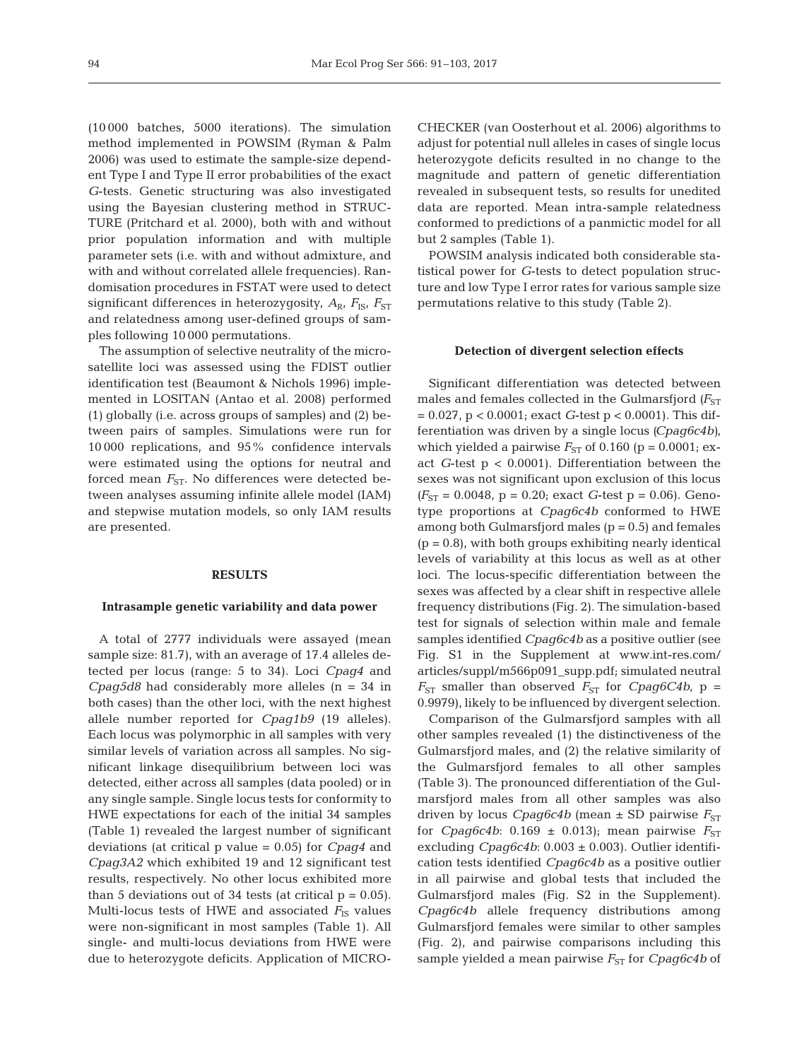(10 000 batches, 5000 iterations). The simulation method implemented in POWSIM (Ryman & Palm 2006) was used to estimate the sample-size dependent Type I and Type II error probabilities of the exact *G*-tests. Genetic structuring was also investigated using the Bayesian clustering method in STRUC-TURE (Pritchard et al. 2000), both with and without prior population information and with multiple parameter sets (i.e. with and without admixture, and with and without correlated allele frequencies). Randomisation procedures in FSTAT were used to detect significant differences in heterozygosity,  $A_{\rm R}$ ,  $F_{\rm IS}$ ,  $F_{\rm ST}$ and relatedness among user-defined groups of samples following 10 000 permutations.

The assumption of selective neutrality of the microsatellite loci was assessed using the FDIST outlier identification test (Beaumont & Nichols 1996) implemented in LOSITAN (Antao et al. 2008) performed (1) globally (i.e. across groups of samples) and (2) be tween pairs of samples. Simulations were run for 10 000 replications, and 95% confidence intervals were estimated using the options for neutral and forced mean  $F_{ST}$ . No differences were detected between analyses assuming infinite allele model (IAM) and stepwise mutation models, so only IAM results are presented.

#### **RESULTS**

#### **Intrasample genetic variability and data power**

A total of 2777 individuals were assayed (mean sample size: 81.7), with an average of 17.4 alleles detected per locus (range: 5 to 34). Loci *Cpag4* and *Cpag5d8* had considerably more alleles (n = 34 in both cases) than the other loci, with the next highest allele number reported for *Cpag1b9* (19 alleles). Each locus was polymorphic in all samples with very similar levels of variation across all samples. No significant linkage disequilibrium between loci was detected, either across all samples (data pooled) or in any single sample. Single locus tests for conformity to HWE expectations for each of the initial 34 samples (Table 1) revealed the largest number of significant deviations (at critical p value = 0.05) for *Cpag4* and *Cpag3A2* which exhibited 19 and 12 significant test results, respectively. No other locus exhibited more than 5 deviations out of 34 tests (at critical  $p = 0.05$ ). Multi-locus tests of HWE and associated  $F_{\text{IS}}$  values were non-significant in most samples (Table 1). All single- and multi-locus deviations from HWE were due to heterozygote deficits. Application of MICRO- CHECKER (van Oosterhout et al. 2006) algorithms to adjust for potential null alleles in cases of single locus heterozygote deficits resulted in no change to the magnitude and pattern of genetic differentiation revealed in subsequent tests, so results for unedited data are reported. Mean intra-sample relatedness conformed to predictions of a panmictic model for all but 2 samples (Table 1).

POWSIM analysis indicated both considerable statistical power for *G*-tests to detect population structure and low Type I error rates for various sample size permutations relative to this study (Table 2).

#### **Detection of divergent selection effects**

Significant differentiation was detected between males and females collected in the Gulmarsfjord  $(F_{ST}$ = 0.027, p < 0.0001; exact *G*-test p < 0.0001). This differentiation was driven by a single locus *(Cpag6c4b)*, which yielded a pairwise  $F_{ST}$  of 0.160 (p = 0.0001; exact *G*-test p < 0.0001). Differentiation between the sexes was not significant upon exclusion of this locus  $(F_{ST} = 0.0048, p = 0.20;$  exact *G*-test  $p = 0.06$ ). Genotype proportions at *Cpag6c4b* conformed to HWE among both Gulmarsfjord males  $(p = 0.5)$  and females  $(p = 0.8)$ , with both groups exhibiting nearly identical levels of variability at this locus as well as at other loci. The locus-specific differentiation between the sexes was affected by a clear shift in respective allele frequency distributions (Fig. 2). The simulation-based test for signals of selection within male and female samples identified *Cpag6c4b* as a positive outlier (see Fig. S1 in the Supplement at www. int-res. com/ articles/suppl/m566p091\_supp.pdf; simulated neutral  $F_{ST}$  smaller than observed  $F_{ST}$  for *Cpag6C4b*, p = 0.9979), likely to be influenced by divergent selection.

Comparison of the Gulmarsfjord samples with all other samples revealed (1) the distinctiveness of the Gulmarsfjord males, and (2) the relative similarity of the Gulmarsfjord females to all other samples (Table 3). The pronounced differentiation of the Gulmarsfjord males from all other samples was also driven by locus *Cpag6c4b* (mean  $\pm$  SD pairwise  $F_{ST}$ for *Cpag6c4b*:  $0.169 \pm 0.013$ ; mean pairwise  $F_{ST}$ excluding  $Cpaq6c4b$ :  $0.003 \pm 0.003$ ). Outlier identification tests identified *Cpag6c4b* as a positive outlier in all pairwise and global tests that included the Gulmarsfjord males (Fig. S2 in the Supplement). *Cpag6c4b* allele frequency distributions among Gulmarsfjord females were similar to other samples (Fig. 2), and pairwise comparisons including this sample yielded a mean pairwise  $F_{ST}$  for *Cpag6c4b* of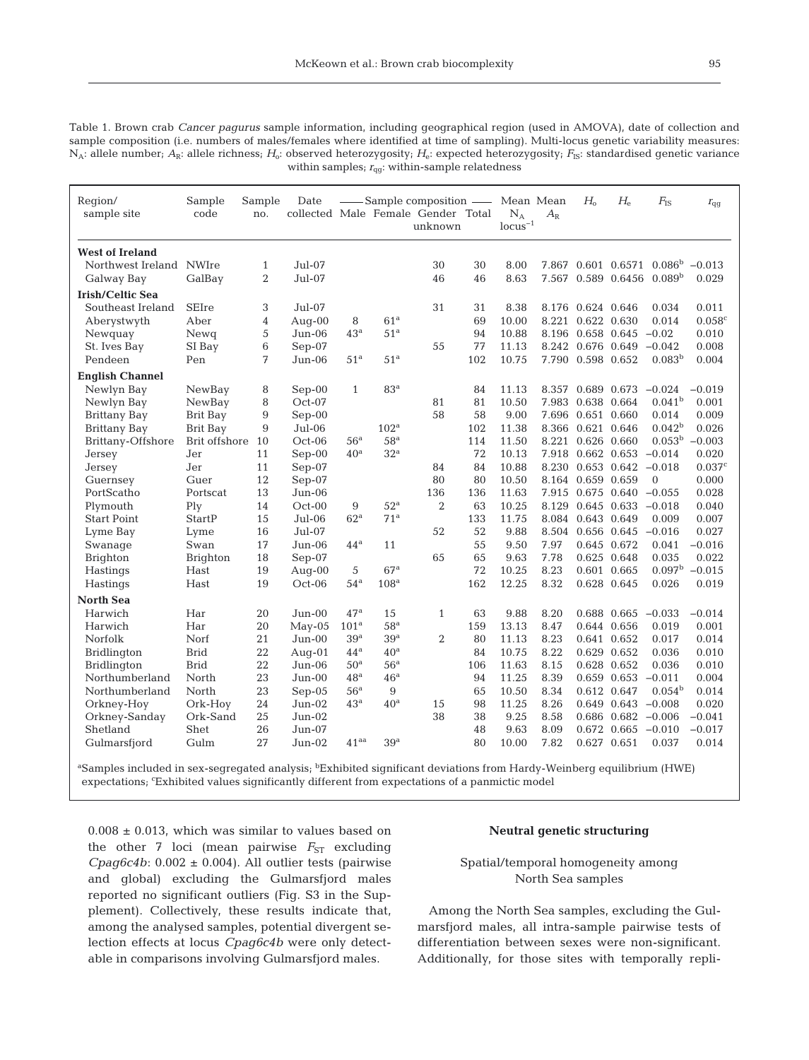Table 1. Brown crab *Cancer pagurus* sample information, including geographical region (used in AMOVA), date of collection and sample composition (i.e. numbers of males/females where identified at time of sampling). Multi-locus genetic variability measures: N<sub>A</sub>: allele number; *A*<sub>R</sub>: allele richness; *H*<sub>o</sub>: observed heterozygosity; *H*<sub>e</sub>: expected heterozygosity; *F*<sub>IS</sub>: standardised genetic variance within samples;  $r_{\text{qg}}$ : within-sample relatedness

| Region/<br>sample site                | Sample<br>code  | Sample<br>no.                  | Date             |                   |                   | -Sample composition - Mean Mean<br>collected Male Female Gender Total<br>unknown |          | $N_A$<br>$locus^{-1}$ | $A_{\rm R}$ | $H_{\alpha}$      | $H_{\rm e}$                        | $F_{\rm IS}$                             | $r_{\rm qg}$      |
|---------------------------------------|-----------------|--------------------------------|------------------|-------------------|-------------------|----------------------------------------------------------------------------------|----------|-----------------------|-------------|-------------------|------------------------------------|------------------------------------------|-------------------|
| <b>West of Ireland</b>                |                 |                                |                  |                   |                   |                                                                                  |          |                       |             |                   |                                    |                                          |                   |
| Northwest Ireland NWIre<br>Galway Bay | GalBay          | $\mathbf{1}$<br>$\overline{2}$ | Jul-07<br>Jul-07 |                   |                   | 30<br>46                                                                         | 30<br>46 | 8.00<br>8.63          | 7.567       |                   | 7.867 0.601 0.6571<br>0.589 0.6456 | 0.086 <sup>b</sup><br>0.089 <sup>b</sup> | $-0.013$<br>0.029 |
| Irish/Celtic Sea                      |                 |                                |                  |                   |                   |                                                                                  |          |                       |             |                   |                                    |                                          |                   |
| Southeast Ireland                     | <b>SEIre</b>    | 3                              | $Ju$ $Io$ $Io$   |                   |                   | 31                                                                               | 31       | 8.38                  |             | 8.176 0.624 0.646 |                                    | 0.034                                    | 0.011             |
| Aberystwyth                           | Aber            | 4                              | Aug-00           | 8                 | 61 <sup>a</sup>   |                                                                                  | 69       | 10.00                 | 8.221       | 0.622 0.630       |                                    | 0.014                                    | 0.058c            |
| Newquay                               | Newg            | 5                              | $Jun-06$         | 43 <sup>a</sup>   | 51 <sup>a</sup>   |                                                                                  | 94       | 10.88                 | 8.196       | 0.658 0.645       |                                    | $-0.02$                                  | 0.010             |
| St. Ives Bay                          | SI Bay          | 6                              | Sep-07           |                   |                   | 55                                                                               | 77       | 11.13                 | 8.242       | 0.676 0.649       |                                    | $-0.042$                                 | 0.008             |
| Pendeen                               | Pen             | 7                              | $Jun-06$         | 51 <sup>a</sup>   | 51 <sup>a</sup>   |                                                                                  | 102      | 10.75                 | 7.790       | 0.598 0.652       |                                    | 0.083 <sup>b</sup>                       | 0.004             |
| <b>English Channel</b>                |                 |                                |                  |                   |                   |                                                                                  |          |                       |             |                   |                                    |                                          |                   |
| Newlyn Bay                            | NewBay          | 8                              | $Sep-00$         | $\mathbf{1}$      | 83 <sup>a</sup>   |                                                                                  | 84       | 11.13                 | 8.357       | 0.689 0.673       |                                    | $-0.024$                                 | $-0.019$          |
| Newlyn Bay                            | NewBay          | 8                              | Oct-07           |                   |                   | 81                                                                               | 81       | 10.50                 | 7.983       | 0.638 0.664       |                                    | 0.041 <sup>b</sup>                       | 0.001             |
| Brittany Bay                          | Brit Bay        | 9                              | $Sep-00$         |                   |                   | 58                                                                               | 58       | 9.00                  | 7.696       | 0.651 0.660       |                                    | 0.014                                    | 0.009             |
| <b>Brittany Bay</b>                   | Brit Bay        | 9                              | $Jul-06$         |                   | 102 <sup>a</sup>  |                                                                                  | 102      | 11.38                 | 8.366       | 0.621 0.646       |                                    | $0.042^{\rm b}$                          | 0.026             |
| Brittany-Offshore                     | Brit offshore   | 10                             | $Oct-06$         | 56 <sup>a</sup>   | 58 <sup>a</sup>   |                                                                                  | 114      | 11.50                 | 8.221       | 0.626 0.660       |                                    | 0.053 <sup>b</sup>                       | $-0.003$          |
| Jersey                                | Jer             | 11                             | $Sep-00$         | 40 <sup>a</sup>   | 32 <sup>a</sup>   |                                                                                  | 72       | 10.13                 | 7.918       |                   | 0.662 0.653                        | $-0.014$                                 | 0.020             |
| Jersey                                | Jer             | 11                             | $Sep-07$         |                   |                   | 84                                                                               | 84       | 10.88                 | 8.230       |                   | 0.653 0.642                        | $-0.018$                                 | 0.037c            |
| Guernsey                              | Guer            | 12                             | $Sep-07$         |                   |                   | 80                                                                               | 80       | 10.50                 |             | 8.164 0.659 0.659 |                                    | $\theta$                                 | 0.000             |
| PortScatho                            | Portscat        | 13                             | Jun-06           |                   |                   | 136                                                                              | 136      | 11.63                 | 7.915       |                   | 0.675 0.640                        | $-0.055$                                 | 0.028             |
| Plymouth                              | Plv             | 14                             | $Oct-00$         | 9                 | $52^{\mathrm{a}}$ | $\overline{2}$                                                                   | 63       | 10.25                 | 8.129       |                   | $0.645$ $0.633$ $-0.018$           |                                          | 0.040             |
| <b>Start Point</b>                    | StartP          | 15                             | Jul-06           | 62 <sup>a</sup>   | 71 <sup>a</sup>   |                                                                                  | 133      | 11.75                 | 8.084       | 0.643 0.649       |                                    | 0.009                                    | 0.007             |
| Lyme Bay                              | Lyme            | 16                             | $Jul-07$         |                   |                   | 52                                                                               | 52       | 9.88                  | 8.504       |                   | 0.656 0.645                        | $-0.016$                                 | 0.027             |
| Swanage                               | Swan            | 17                             | $Jun-06$         | 44 <sup>a</sup>   | 11                |                                                                                  | 55       | 9.50                  | 7.97        |                   | 0.645 0.672                        | 0.041                                    | $-0.016$          |
| <b>Brighton</b>                       | <b>Brighton</b> | 18                             | $Sep-07$         |                   |                   | 65                                                                               | 65       | 9.63                  | 7.78        |                   | 0.625 0.648                        | 0.035                                    | 0.022             |
| Hastings                              | Hast            | 19                             | Aug- $00$        | 5                 | 67 <sup>a</sup>   |                                                                                  | 72       | 10.25                 | 8.23        |                   | 0.601 0.665                        | 0.097 <sup>b</sup>                       | $-0.015$          |
| Hastings                              | Hast            | 19                             | $Oct-06$         | 54 <sup>a</sup>   | 108 <sup>a</sup>  |                                                                                  | 162      | 12.25                 | 8.32        |                   | 0.628 0.645                        | 0.026                                    | 0.019             |
| <b>North Sea</b>                      |                 |                                |                  |                   |                   |                                                                                  |          |                       |             |                   |                                    |                                          |                   |
| Harwich                               | Har             | 20                             | $Jun-00$         | $47^a$            | 15                | $\mathbf{1}$                                                                     | 63       | 9.88                  | 8.20        |                   | 0.688 0.665                        | $-0.033$                                 | $-0.014$          |
| Harwich                               | Har             | 20                             | $May-05$         | 101 <sup>a</sup>  | 58 <sup>a</sup>   |                                                                                  | 159      | 13.13                 | 8.47        |                   | 0.644 0.656                        | 0.019                                    | 0.001             |
| Norfolk                               | Norf            | 21                             | $Jun-00$         | 39 <sup>a</sup>   | 39 <sup>a</sup>   | $\overline{2}$                                                                   | 80       | 11.13                 | 8.23        |                   | 0.641 0.652                        | 0.017                                    | 0.014             |
| Bridlington                           | <b>Brid</b>     | 22                             | Aug- $01$        | $44^{\mathrm{a}}$ | 40 <sup>a</sup>   |                                                                                  | 84       | 10.75                 | 8.22        |                   | 0.629 0.652                        | 0.036                                    | 0.010             |
| <b>Bridlington</b>                    | <b>Brid</b>     | 22                             | Jun-06           | 50 <sup>a</sup>   | 56 <sup>a</sup>   |                                                                                  | 106      | 11.63                 | 8.15        |                   | 0.628 0.652                        | 0.036                                    | 0.010             |
| Northumberland                        | North           | 23                             | $Jun-00$         | 48 <sup>a</sup>   | 46 <sup>a</sup>   |                                                                                  | 94       | 11.25                 | 8.39        |                   | 0.659 0.653                        | $-0.011$                                 | 0.004             |
| Northumberland                        | North           | 23                             | $Sep-05$         | 56 <sup>a</sup>   | 9                 |                                                                                  | 65       | 10.50                 | 8.34        |                   | 0.612 0.647                        | 0.054 <sup>b</sup>                       | 0.014             |
| Orkney-Hoy                            | Ork-Hoy         | 24                             | $Jun-02$         | 43 <sup>a</sup>   | 40 <sup>a</sup>   | 15                                                                               | 98       | 11.25                 | 8.26        |                   | $0.649$ $0.643$ $-0.008$           |                                          | 0.020             |
| Orkney-Sanday                         | Ork-Sand        | 25                             | $Jun-02$         |                   |                   | 38                                                                               | 38       | 9.25                  | 8.58        |                   | $0.686$ $0.682$ $-0.006$           |                                          | $-0.041$          |
| Shetland                              | Shet            | 26                             | $Jun-07$         |                   |                   |                                                                                  | 48       | 9.63                  | 8.09        |                   | $0.672$ $0.665$ $-0.010$           |                                          | $-0.017$          |
| Gulmarsfjord                          | Gulm            | 27                             | $Jun-02$         | 41 <sup>aa</sup>  | 39 <sup>a</sup>   |                                                                                  | 80       | 10.00                 | 7.82        |                   | 0.627 0.651                        | 0.037                                    | 0.014             |

<sup>a</sup>Samples included in sex-segregated analysis; <sup>b</sup>Exhibited significant deviations from Hardy-Weinberg equilibrium (HWE) expectations; 'Exhibited values significantly different from expectations of a panmictic model

 $0.008 \pm 0.013$ , which was similar to values based on the other 7 loci (mean pairwise  $F_{ST}$  excluding  $Cpaq6c4b$ :  $0.002 \pm 0.004$ ). All outlier tests (pairwise and global) excluding the Gulmarsfjord males reported no significant outliers (Fig. S3 in the Supplement). Collectively, these results indicate that, among the analysed samples, potential divergent se lection effects at locus *Cpag6c4b* were only detectable in comparisons involving Gulmarsfjord males.

# **Neutral genetic structuring**

# Spatial/temporal homogeneity among North Sea samples

Among the North Sea samples, excluding the Gulmarsfjord males, all intra-sample pairwise tests of differentiation between sexes were non-significant. Additionally, for those sites with temporally repli-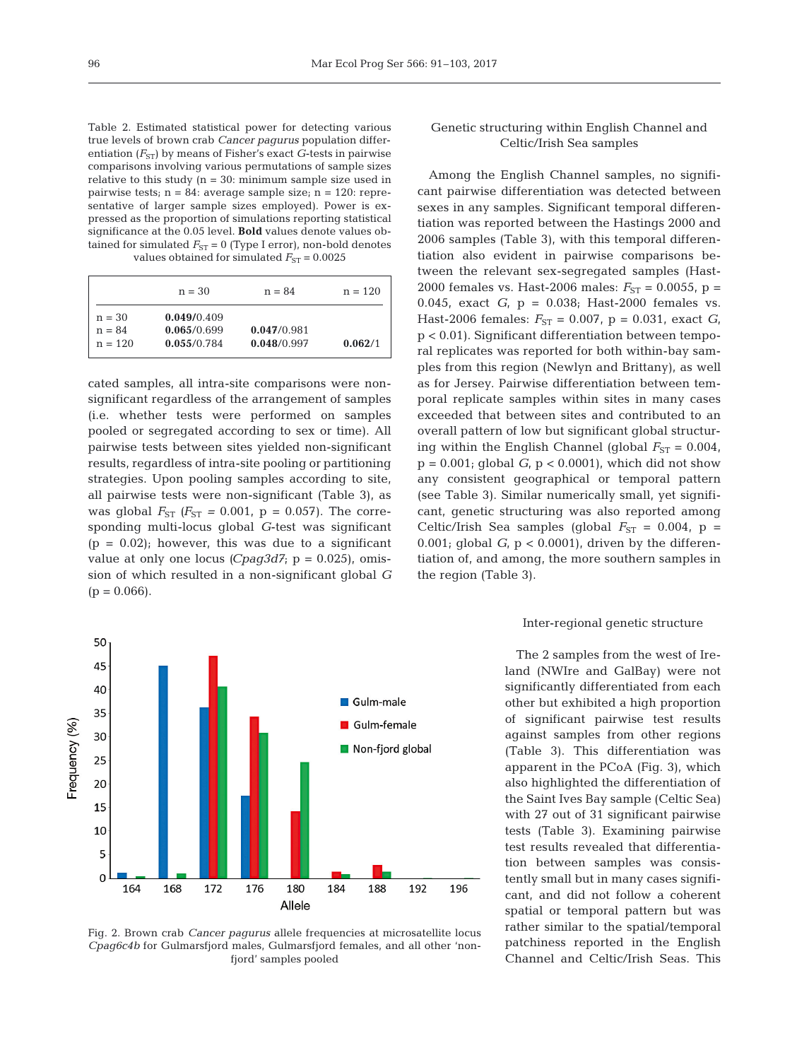| Table 2. Estimated statistical power for detecting various           |  |  |  |  |  |  |  |  |
|----------------------------------------------------------------------|--|--|--|--|--|--|--|--|
| true levels of brown crab Cancer pagurus population differ-          |  |  |  |  |  |  |  |  |
| entiation $(F_{ST})$ by means of Fisher's exact G-tests in pairwise  |  |  |  |  |  |  |  |  |
| comparisons involving various permutations of sample sizes           |  |  |  |  |  |  |  |  |
| relative to this study ( $n = 30$ ): minimum sample size used in     |  |  |  |  |  |  |  |  |
| pairwise tests; $n = 84$ : average sample size; $n = 120$ : repre-   |  |  |  |  |  |  |  |  |
| sentative of larger sample sizes employed). Power is ex-             |  |  |  |  |  |  |  |  |
| pressed as the proportion of simulations reporting statistical       |  |  |  |  |  |  |  |  |
| significance at the 0.05 level. <b>Bold</b> values denote values ob- |  |  |  |  |  |  |  |  |
| tained for simulated $F_{ST} = 0$ (Type I error), non-bold denotes   |  |  |  |  |  |  |  |  |
| values obtained for simulated $F_{ST} = 0.0025$                      |  |  |  |  |  |  |  |  |
|                                                                      |  |  |  |  |  |  |  |  |

|           | $n = 30$    | $n = 84$    | $n = 120$ |
|-----------|-------------|-------------|-----------|
| $n = 30$  | 0.049/0.409 |             |           |
| $n = 84$  | 0.065/0.699 | 0.047/0.981 |           |
| $n = 120$ | 0.055/0.784 | 0.048/0.997 | 0.062/1   |

cated samples, all intra-site comparisons were nonsignificant regardless of the arrangement of samples (i.e. whether tests were performed on samples pooled or segregated according to sex or time). All pairwise tests between sites yielded non-significant results, regardless of intra-site pooling or partitioning strategies. Upon pooling samples according to site, all pairwise tests were non-significant (Table 3), as was global  $F_{ST}$  ( $F_{ST}$  = 0.001, p = 0.057). The corresponding multi-locus global *G*-test was significant  $(p = 0.02)$ ; however, this was due to a significant value at only one locus *(Cpag3d7*;  $p = 0.025$ ), omission of which resulted in a non-significant global *G*  $(p = 0.066)$ .



Fig. 2. Brown crab *Cancer pagurus* allele frequencies at microsatellite locus *Cpag6c4b* for Gulmarsfjord males, Gulmarsfjord females, and all other 'nonfjord' samples pooled

## Genetic structuring within English Channel and Celtic/Irish Sea samples

Among the English Channel samples, no significant pairwise differentiation was detected between sexes in any samples. Significant temporal differentiation was reported between the Hastings 2000 and 2006 samples (Table 3), with this temporal differentiation also evident in pairwise comparisons be tween the relevant sex-segregated samples (Hast-2000 females vs. Hast-2006 males:  $F_{ST} = 0.0055$ , p = 0.045, exact *G*, p = 0.038; Hast-2000 females vs. Hast-2006 females:  $F_{ST} = 0.007$ ,  $p = 0.031$ , exact *G*, p < 0.01). Significant differentiation between temporal replicates was reported for both within-bay samples from this region (Newlyn and Brittany), as well as for Jersey. Pairwise differentiation between temporal replicate samples within sites in many cases exceeded that between sites and contributed to an overall pattern of low but significant global structuring within the English Channel (global  $F_{ST} = 0.004$ ,  $p = 0.001$ ; global  $G<sub>i</sub> p < 0.0001$ , which did not show any consistent geographical or temporal pattern (see Table 3). Similar numerically small, yet significant, genetic structuring was also reported among Celtic/Irish Sea samples (global  $F_{ST} = 0.004$ , p = 0.001; global  $G<sub>i</sub>$ ,  $p < 0.0001$ ), driven by the differentiation of, and among, the more southern samples in the region (Table 3).

#### Inter-regional genetic structure

The 2 samples from the west of Ireland (NWIre and GalBay) were not significantly differentiated from each other but exhibited a high proportion of significant pairwise test results against samples from other regions (Table 3). This differentiation was apparent in the PCoA (Fig. 3), which also highlighted the differentiation of the Saint Ives Bay sample (Celtic Sea) with 27 out of 31 significant pairwise tests (Table 3). Examining pairwise test results revealed that differentiation between samples was consistently small but in many cases significant, and did not follow a coherent spatial or temporal pattern but was rather similar to the spatial/temporal patchiness reported in the English Channel and Celtic/Irish Seas. This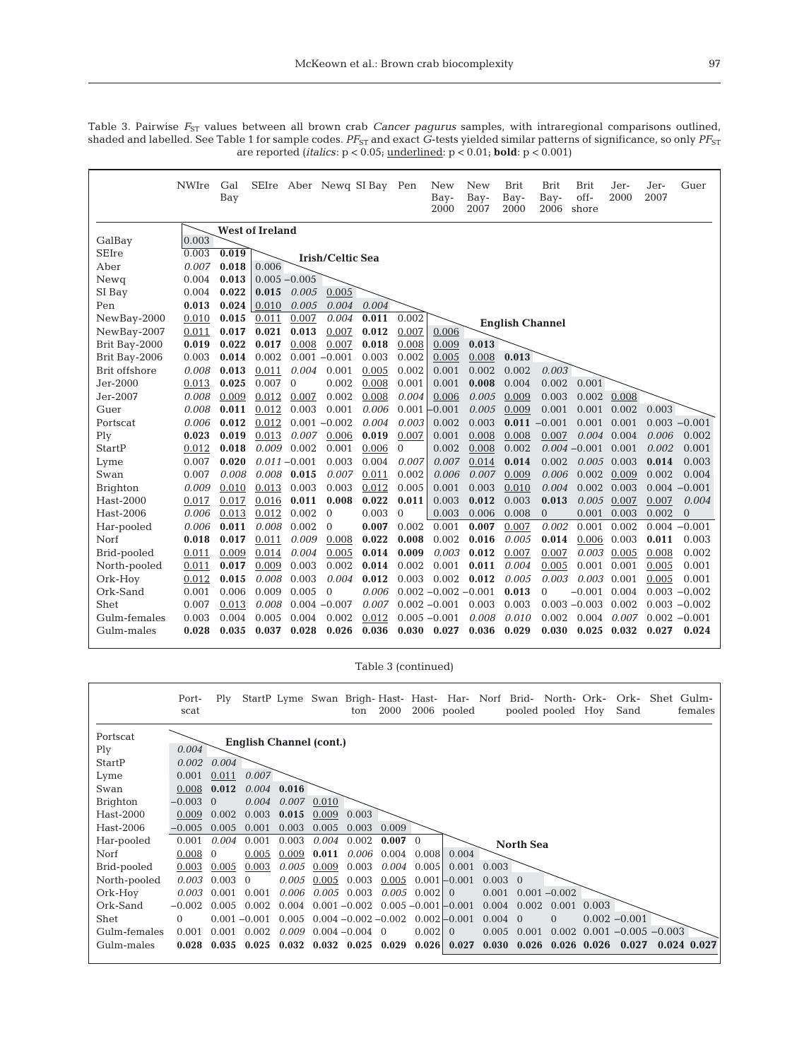Table 3. Pairwise  $F_{\rm ST}$  values between all brown crab *Cancer pagurus* samples, with intraregional comparisons outlined, shaded and labelled. See Table 1 for sample codes.  $PF_{\rm ST}$  and exact *G-*tests yielded similar patterns of significance, so only  $PF_{\rm ST}$ are reported (*italics*: p < 0.05; underlined: p < 0.01; **bold**: p < 0.001)

|                 | <b>NWIre</b> | Gal<br>Bay |                        |                 | SEIre Aber Newq SI Bay Pen |       |              | New<br>Bay-<br>2000     | <b>New</b><br>Bay-<br>2007 | <b>Brit</b><br>Bay-<br>2000 | <b>Brit</b><br>Bay-<br>2006 | <b>Brit</b><br>off-<br>shore | Jer-<br>2000  | Jer-<br>2007 | Guer            |
|-----------------|--------------|------------|------------------------|-----------------|----------------------------|-------|--------------|-------------------------|----------------------------|-----------------------------|-----------------------------|------------------------------|---------------|--------------|-----------------|
|                 |              |            | <b>West of Ireland</b> |                 |                            |       |              |                         |                            |                             |                             |                              |               |              |                 |
| GalBay          | 0.003        |            |                        |                 |                            |       |              |                         |                            |                             |                             |                              |               |              |                 |
| <b>SEIre</b>    | 0.003        | 0.019      |                        |                 | <b>Irish/Celtic Sea</b>    |       |              |                         |                            |                             |                             |                              |               |              |                 |
| Aber            | 0.007        | 0.018      | 0.006                  |                 |                            |       |              |                         |                            |                             |                             |                              |               |              |                 |
| Newg            | 0.004        | 0.013      |                        | $0.005 - 0.005$ |                            |       |              |                         |                            |                             |                             |                              |               |              |                 |
| SI Bay          | 0.004        | 0.022      | 0.015                  | 0.005           | 0.005                      |       |              |                         |                            |                             |                             |                              |               |              |                 |
| Pen             | 0.013        | 0.024      | 0.010                  | 0.005           | 0.004                      | 0.004 |              |                         |                            |                             |                             |                              |               |              |                 |
| NewBay-2000     | 0.010        | 0.015      | 0.011                  | 0.007           | 0.004                      | 0.011 | 0.002        |                         |                            | <b>English Channel</b>      |                             |                              |               |              |                 |
| NewBay-2007     | 0.011        | 0.017      | 0.021                  | 0.013           | 0.007                      | 0.012 | 0.007        | 0.006                   |                            |                             |                             |                              |               |              |                 |
| Brit Bay-2000   | 0.019        | 0.022      | 0.017                  | 0.008           | 0.007                      | 0.018 | 0.008        | 0.009                   | 0.013                      |                             |                             |                              |               |              |                 |
| Brit Bay-2006   | 0.003        | 0.014      | 0.002                  | $0.001 - 0.001$ |                            | 0.003 | 0.002        | 0.005                   | 0.008                      | 0.013                       |                             |                              |               |              |                 |
| Brit offshore   | 0.008        | 0.013      | 0.011                  | 0.004           | 0.001                      | 0.005 | 0.002        | 0.001                   | 0.002                      | 0.002                       | 0.003                       |                              |               |              |                 |
| Jer-2000        | 0.013        | 0.025      | 0.007                  | $\mathbf{0}$    | 0.002                      | 0.008 | 0.001        | 0.001                   | 0.008                      | 0.004                       | 0.002                       | 0.001                        |               |              |                 |
| Jer-2007        | 0.008        | 0.009      | 0.012                  | 0.007           | 0.002                      | 0.008 | 0.004        | 0.006                   | 0.005                      | 0.009                       | 0.003                       | 0.002                        | 0.008         |              |                 |
| Guer            | 0.008        | 0.011      | 0.012                  | 0.003           | 0.001                      | 0.006 | 0.001        | $-0.001$                | 0.005                      | 0.009                       | 0.001                       | 0.001                        | 0.002         | 0.003        |                 |
| Portscat        | 0.006        | 0.012      | 0.012                  |                 | $0.001 - 0.002$            | 0.004 | 0.003        | 0.002                   | 0.003                      |                             | $0.011 - 0.001$             | 0.001                        | 0.001         |              | $0.003 - 0.001$ |
| Ply             | 0.023        | 0.019      | 0.013                  | 0.007           | 0.006                      | 0.019 | 0.007        | 0.001                   | 0.008                      | 0.008                       | 0.007                       | 0.004                        | 0.004         | 0.006        | 0.002           |
| StartP          | 0.012        | 0.018      | 0.009                  | 0.002           | 0.001                      | 0.006 | $\mathbf{0}$ | 0.002                   | 0.008                      | 0.002                       |                             | $0.004 - 0.001$              | 0.001         | 0.002        | 0.001           |
| Lyme            | 0.007        | 0.020      |                        | $0.011 - 0.001$ | 0.003                      | 0.004 | 0.007        | 0.007                   | 0.014                      | 0.014                       | 0.002                       |                              | $0.005$ 0.003 | 0.014        | 0.003           |
| Swan            | 0.007        | 0.008      | 0.008                  | 0.015           | 0.007                      | 0.011 | 0.002        | 0.006                   | 0.007                      | 0.009                       | 0.006                       | 0.002                        | 0.009         | 0.002        | 0.004           |
| <b>Brighton</b> | 0.009        | 0.010      | 0.013                  | 0.003           | 0.003                      | 0.012 | 0.005        | 0.001                   | 0.003                      | 0.010                       | 0.004                       | 0.002                        | 0.003         |              | $0.004 - 0.001$ |
| Hast-2000       | 0.017        | 0.017      | 0.016                  | 0.011           | 0.008                      | 0.022 | 0.011        | 0.003                   | 0.012                      | 0.003                       | 0.013                       | 0.005                        | 0.007         | 0.007        | 0.004           |
| Hast-2006       | 0.006        | 0.013      | 0.012                  | 0.002           | $\mathbf{0}$               | 0.003 | $\mathbf{0}$ | 0.003                   | 0.006                      | 0.008                       | $\overline{0}$              | 0.001                        | 0.003         | 0.002        | $\Omega$        |
| Har-pooled      | 0.006        | 0.011      | 0.008                  | 0.002           | $\Omega$                   | 0.007 | 0.002        | 0.001                   | 0.007                      | 0.007                       | 0.002                       | 0.001                        | 0.002         |              | $0.004 - 0.001$ |
| Norf            | 0.018        | 0.017      | 0.011                  | 0.009           | 0.008                      | 0.022 | 0.008        | 0.002                   | 0.016                      | 0.005                       | 0.014                       | 0.006                        | 0.003         | 0.011        | 0.003           |
| Brid-pooled     | 0.011        | 0.009      | 0.014                  | 0.004           | 0.005                      | 0.014 | 0.009        | 0.003                   | 0.012                      | 0.007                       | 0.007                       | 0.003                        | 0.005         | 0.008        | 0.002           |
| North-pooled    | 0.011        | 0.017      | 0.009                  | 0.003           | 0.002                      | 0.014 | 0.002        | 0.001                   | 0.011                      | 0.004                       | 0.005                       | 0.001                        | 0.001         | 0.005        | 0.001           |
| Ork-Hoy         | 0.012        | 0.015      | 0.008                  | 0.003           | 0.004                      | 0.012 | 0.003        | 0.002                   | 0.012                      | 0.005                       | 0.003                       | 0.003                        | 0.001         | 0.005        | 0.001           |
| Ork-Sand        | 0.001        | 0.006      | 0.009                  | 0.005           | $\mathbf{0}$               | 0.006 |              | $0.002 - 0.002 - 0.001$ |                            | 0.013                       | $\overline{0}$              | $-0.001$                     | 0.004         |              | $0.003 - 0.002$ |
| Shet            | 0.007        | 0.013      | 0.008                  |                 | $0.004 - 0.007$            | 0.007 |              | $0.002 - 0.001$         | 0.003                      | 0.003                       |                             | $0.003 - 0.003$              | 0.002         |              | $0.003 - 0.002$ |
| Gulm-females    | 0.003        | 0.004      | 0.005                  | 0.004           | 0.002                      | 0.012 |              | $0.005 - 0.001$         | 0.008                      | 0.010                       | 0.002                       | 0.004                        | 0.007         |              | $0.002 - 0.001$ |
| Gulm-males      | 0.028        | 0.035      | 0.037                  | 0.028           | 0.026                      | 0.036 |              | $0.030 \quad 0.027$     | 0.036                      | 0.029                       | 0.030                       |                              | $0.025$ 0.032 | 0.027        | 0.024           |

Table 3 (continued)

|                 | Port-<br>scat | Plv      |                                |       |       | ton                 | 2000                    |             | StartP Lyme Swan Brigh-Hast- Hast- Har- Norf Brid- North- Ork-<br>2006 pooled |                 |                     | pooled pooled   | Hoy   | Ork-<br>Sand            | Shet Gulm-<br>females |
|-----------------|---------------|----------|--------------------------------|-------|-------|---------------------|-------------------------|-------------|-------------------------------------------------------------------------------|-----------------|---------------------|-----------------|-------|-------------------------|-----------------------|
| Portscat        |               |          | <b>English Channel (cont.)</b> |       |       |                     |                         |             |                                                                               |                 |                     |                 |       |                         |                       |
| Ply             | 0.004         |          |                                |       |       |                     |                         |             |                                                                               |                 |                     |                 |       |                         |                       |
| StartP          | 0.002         | 0.004    |                                |       |       |                     |                         |             |                                                                               |                 |                     |                 |       |                         |                       |
| Lyme            | 0.001         | 0.011    | 0.007                          |       |       |                     |                         |             |                                                                               |                 |                     |                 |       |                         |                       |
| Swan            | 0.008         | 0.012    | 0.004                          | 0.016 |       |                     |                         |             |                                                                               |                 |                     |                 |       |                         |                       |
| <b>Brighton</b> | $-0.003$      | $\Omega$ | 0.004                          | 0.007 | 0.010 |                     |                         |             |                                                                               |                 |                     |                 |       |                         |                       |
| Hast-2000       | 0.009         | 0.002    | 0.003                          | 0.015 | 0.009 | 0.003               |                         |             |                                                                               |                 |                     |                 |       |                         |                       |
| Hast-2006       | $-0.005$      | 0.005    | 0.001                          | 0.003 | 0.005 | 0.003               | 0.009                   |             |                                                                               |                 |                     |                 |       |                         |                       |
| Har-pooled      | 0.001         | 0.004    | 0.001                          | 0.003 | 0.004 | 0.002               | $0.007 \quad 0$         |             |                                                                               |                 | <b>North Sea</b>    |                 |       |                         |                       |
| Norf            | 0.008         | $\Omega$ | 0.005                          | 0.009 | 0.011 | 0.006               | 0.004                   | 0.008       | 0.004                                                                         |                 |                     |                 |       |                         |                       |
| Brid-pooled     | 0.003         | 0.005    | 0.003                          | 0.005 | 0.009 | 0.003               | 0.004                   | 0.005       | 0.001                                                                         | 0.003           |                     |                 |       |                         |                       |
| North-pooled    | 0.003         | 0.003    | $\Omega$                       | 0.005 | 0.005 | 0.003               | 0.005                   |             | $0.001 - 0.001$                                                               | $0.003 \quad 0$ |                     |                 |       |                         |                       |
| Ork-Hoy         | 0.003         | 0.001    | 0.001                          | 0.006 | 0.005 | 0.003               | 0.005                   | $0.002$   0 |                                                                               | 0.001           |                     | $0.001 - 0.002$ |       |                         |                       |
| Ork-Sand        | $-0.002$      | 0.005    | 0.002                          | 0.004 |       | $0.001 - 0.002$     |                         |             | $0.005 - 0.001 - 0.001$                                                       | 0.004           | 0.002               | 0.001           | 0.003 |                         |                       |
| Shet            | 0             |          | $0.001 - 0.001$                | 0.005 |       |                     | $0.004 - 0.002 - 0.002$ |             | $0.002 - 0.001$                                                               | $0.004 \quad 0$ |                     | $\Omega$        |       | $0.002 - 0.001$         |                       |
| Gulm-females    | 0.001         | 0.001    | 0.002                          | 0.009 |       | $0.004 - 0.004$ 0   |                         | 0.002       | $\Omega$                                                                      | 0.005           | 0.001               | 0.002           |       | $0.001 - 0.005 - 0.003$ |                       |
| Gulm-males      | 0.028         | 0.035    | 0.025                          | 0.032 |       | $0.032 \quad 0.025$ | 0.029                   | 0.026       | 0.027                                                                         |                 | $0.030 \quad 0.026$ | 0.026           | 0.026 | 0.027                   | $0.024$ $0.027$       |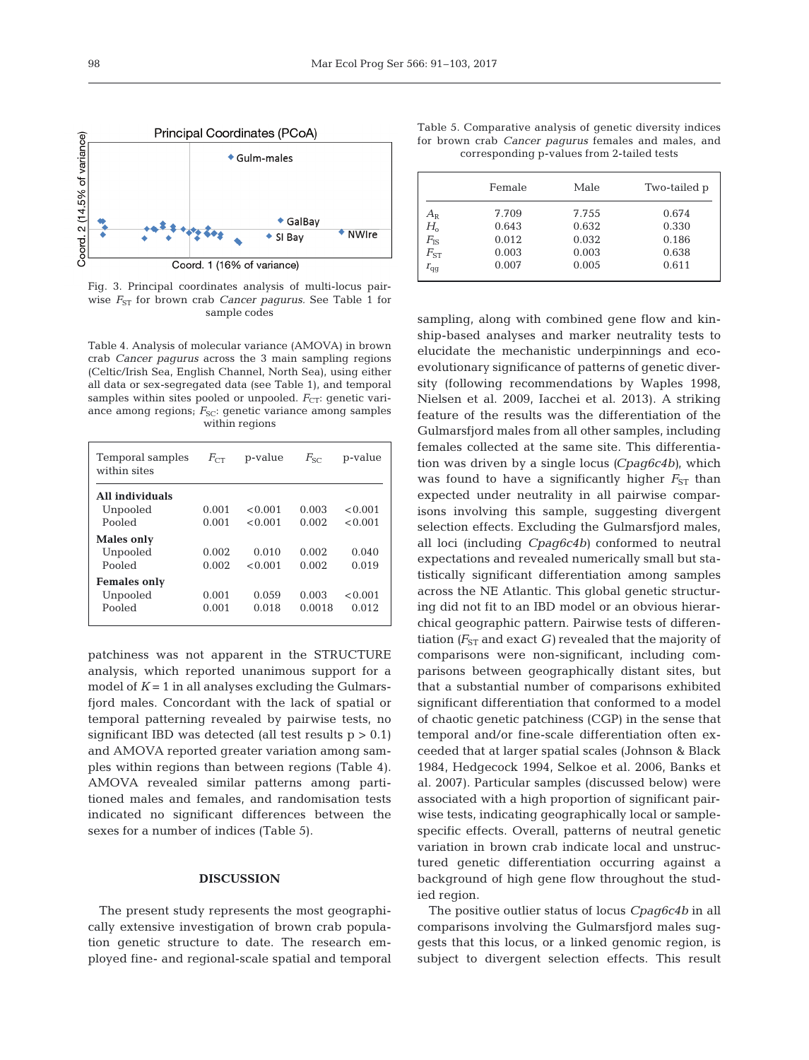

Fig. 3. Principal coordinates analysis of multi-locus pairwise  $F_{ST}$  for brown crab *Cancer pagurus*. See Table 1 for sample codes

Table 4. Analysis of molecular variance (AMOVA) in brown crab *Cancer pagurus* across the 3 main sampling regions (Celtic/Irish Sea, English Channel, North Sea), using either all data or sex-segregated data (see Table 1), and temporal samples within sites pooled or unpooled. *F<sub>CT</sub>*: genetic variance among regions;  $F_{SC}$ : genetic variance among samples within regions

| Temporal samples<br>within sites | $F_{C}$ | p-value | $F_{SC}$ | p-value |
|----------------------------------|---------|---------|----------|---------|
| All individuals                  |         |         |          |         |
| Unpooled                         | 0.001   | < 0.001 | 0.003    | < 0.001 |
| Pooled                           | 0.001   | < 0.001 | 0.002    | < 0.001 |
| Males only                       |         |         |          |         |
| Unpooled                         | 0.002   | 0.010   | 0.002    | 0.040   |
| Pooled                           | 0.002   | < 0.001 | 0.002    | 0.019   |
| <b>Females only</b>              |         |         |          |         |
| Unpooled                         | 0.001   | 0.059   | 0.003    | < 0.001 |
| Pooled                           | 0.001   | 0.018   | 0.0018   | 0.012   |
|                                  |         |         |          |         |

patchiness was not apparent in the STRUCTURE analysis, which reported unanimous support for a model of  $K = 1$  in all analyses excluding the Gulmarsfjord males. Concordant with the lack of spatial or temporal patterning revealed by pairwise tests, no significant IBD was detected (all test results  $p > 0.1$ ) and AMOVA reported greater variation among samples within regions than between regions (Table 4). AMOVA revealed similar patterns among partitioned males and females, and randomisation tests indicated no significant differences between the sexes for a number of indices (Table 5).

### **DISCUSSION**

The present study represents the most geographically extensive investigation of brown crab population genetic structure to date. The research employed fine- and regional-scale spatial and temporal

Table 5. Comparative analysis of genetic diversity indices for brown crab *Cancer pagurus* females and males, and corresponding p-values from 2-tailed tests

|              | Female | Male  | Two-tailed p |
|--------------|--------|-------|--------------|
| $A_{\rm R}$  | 7.709  | 7.755 | 0.674        |
| $H_{\rm o}$  | 0.643  | 0.632 | 0.330        |
| $F_{\rm IS}$ | 0.012  | 0.032 | 0.186        |
| $F_{ST}$     | 0.003  | 0.003 | 0.638        |
| $r_{\rm qq}$ | 0.007  | 0.005 | 0.611        |

sampling, along with combined gene flow and kinship-based analyses and marker neutrality tests to elucidate the mechanistic underpinnings and ecoevolutionary significance of patterns of genetic diversity (following recommendations by Waples 1998, Nielsen et al. 2009, Iacchei et al. 2013). A striking feature of the results was the differentiation of the Gulmarsfjord males from all other samples, including females collected at the same site. This differentiation was driven by a single locus *(Cpag6c4b)*, which was found to have a significantly higher  $F_{ST}$  than expected under neutrality in all pairwise comparisons involving this sample, suggesting divergent selection effects. Excluding the Gulmarsfjord males, all loci (including *Cpag6c4b)* conformed to neutral expectations and revealed numerically small but statistically significant differentiation among samples across the NE Atlantic. This global genetic structuring did not fit to an IBD model or an obvious hierarchical geographic pattern. Pairwise tests of differentiation  $(F_{ST}$  and exact *G*) revealed that the majority of comparisons were non-significant, including comparisons between geographically distant sites, but that a substantial number of comparisons exhibited significant differentiation that conformed to a model of chaotic genetic patchiness (CGP) in the sense that temporal and/or fine-scale differentiation often exceeded that at larger spatial scales (Johnson & Black 1984, Hedgecock 1994, Selkoe et al. 2006, Banks et al. 2007). Particular samples (discussed below) were associated with a high proportion of significant pairwise tests, indicating geographically local or samplespecific effects. Overall, patterns of neutral genetic variation in brown crab indicate local and unstructured genetic differentiation occurring against a back ground of high gene flow throughout the studied region.

The positive outlier status of locus *Cpag6c4b* in all comparisons involving the Gulmarsfjord males suggests that this locus, or a linked genomic region, is subject to divergent selection effects. This result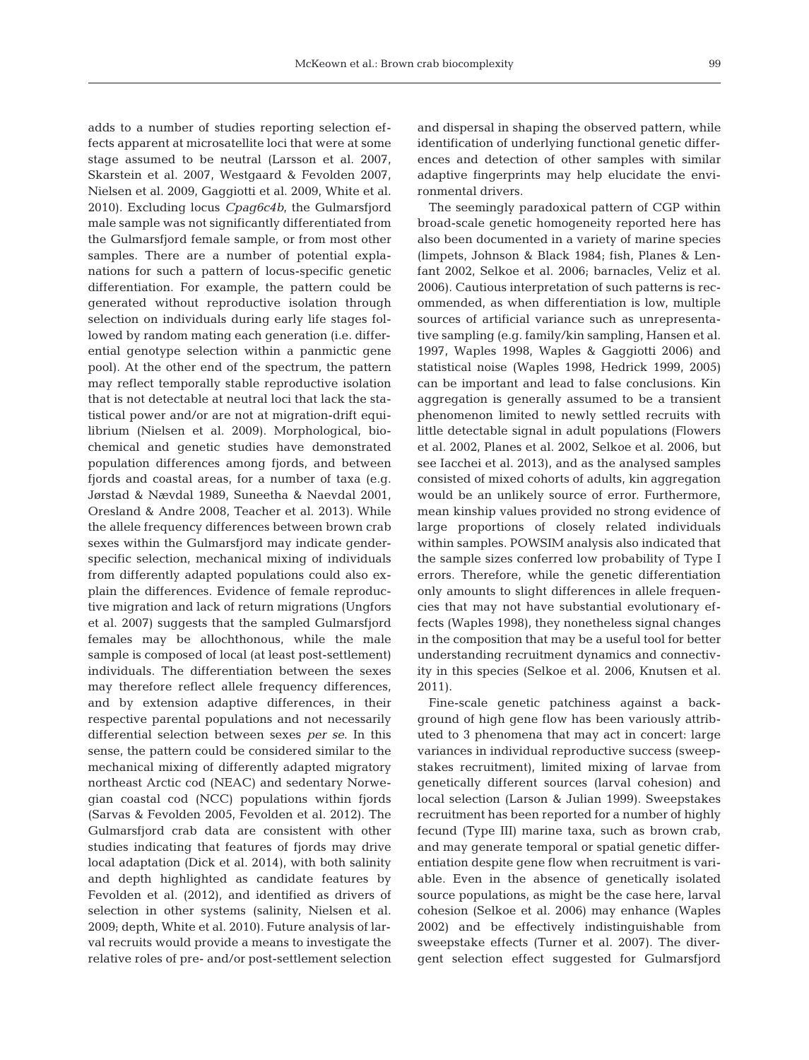adds to a number of studies reporting selection ef fects apparent at microsatellite loci that were at some stage assumed to be neutral (Larsson et al. 2007, Skarstein et al. 2007, Westgaard & Fevolden 2007, Nielsen et al. 2009, Gaggiotti et al. 2009, White et al. 2010). Excluding locus *Cpag6c4b*, the Gulmarsfjord male sample was not significantly differentiated from the Gulmarsfjord female sample, or from most other samples. There are a number of potential explanations for such a pattern of locus-specific genetic differentiation. For example, the pattern could be generated without reproductive isolation through selection on individuals during early life stages followed by random mating each generation (i.e. differential genotype selection within a panmictic gene pool). At the other end of the spectrum, the pattern may reflect temporally stable reproductive isolation that is not detectable at neutral loci that lack the statistical power and/or are not at migration-drift equilibrium (Nielsen et al. 2009). Morphological, biochemical and genetic studies have demonstrated population differences among fjords, and between fjords and coastal areas, for a number of taxa (e.g. Jørstad & Nævdal 1989, Suneetha & Naevdal 2001, Oresland & Andre 2008, Teacher et al. 2013). While the allele frequency differences between brown crab sexes within the Gulmarsfjord may indicate genderspecific selection, mechanical mixing of individuals from differently adapted populations could also explain the differences. Evidence of female reproductive migration and lack of return migrations (Ungfors et al. 2007) suggests that the sampled Gulmarsfjord females may be allochthonous, while the male sample is composed of local (at least post-settlement) individuals. The differentiation between the sexes may therefore reflect allele frequency differences, and by extension adaptive differences, in their respective parental populations and not necessarily differential selection between sexes *per se*. In this sense, the pattern could be considered similar to the mechanical mixing of differently adapted migratory northeast Arctic cod (NEAC) and sedentary Norwegian coastal cod (NCC) populations within fjords (Sarvas & Fevolden 2005, Fevolden et al. 2012). The Gulmarsfjord crab data are consistent with other studies indicating that features of fjords may drive local adaptation (Dick et al. 2014), with both salinity and depth highlighted as candidate features by Fevolden et al. (2012), and identified as drivers of selection in other systems (salinity, Nielsen et al. 2009; depth, White et al. 2010). Future analysis of larval recruits would provide a means to investigate the relative roles of pre- and/or post-settlement selection and dispersal in shaping the observed pattern, while identification of underlying functional genetic differences and detection of other samples with similar adaptive fingerprints may help elucidate the environmental drivers.

The seemingly paradoxical pattern of CGP within broad-scale genetic homogeneity reported here has also been documented in a variety of marine species (limpets, Johnson & Black 1984; fish, Planes & Lenfant 2002, Selkoe et al. 2006; barnacles, Veliz et al. 2006). Cautious interpretation of such patterns is recommended, as when differentiation is low, multiple sources of artificial variance such as unrepresentative sampling (e.g. family/kin sampling, Hansen et al. 1997, Waples 1998, Waples & Gaggiotti 2006) and statistical noise (Waples 1998, Hedrick 1999, 2005) can be important and lead to false conclusions. Kin aggregation is generally assumed to be a transient phenomenon limited to newly settled recruits with little detectable signal in adult populations (Flowers et al. 2002, Planes et al. 2002, Selkoe et al. 2006, but see Iacchei et al. 2013), and as the analysed samples consisted of mixed cohorts of adults, kin aggregation would be an unlikely source of error. Furthermore, mean kinship values provided no strong evidence of large proportions of closely related individuals within samples. POWSIM analysis also indicated that the sample sizes conferred low probability of Type I errors. Therefore, while the genetic differentiation only amounts to slight differences in allele frequencies that may not have substantial evolutionary ef fects (Waples 1998), they nonetheless signal changes in the composition that may be a useful tool for better understanding recruitment dynamics and connectivity in this species (Selkoe et al. 2006, Knutsen et al. 2011).

Fine-scale genetic patchiness against a background of high gene flow has been variously attributed to 3 phenomena that may act in concert: large variances in individual reproductive success (sweepstakes recruitment), limited mixing of larvae from genetically different sources (larval cohesion) and local selection (Larson & Julian 1999). Sweepstakes recruitment has been reported for a number of highly fecund (Type III) marine taxa, such as brown crab, and may generate temporal or spatial genetic differentiation despite gene flow when recruitment is variable. Even in the absence of genetically isolated source populations, as might be the case here, larval cohesion (Selkoe et al. 2006) may enhance (Waples 2002) and be effectively indistinguishable from sweep stake effects (Turner et al. 2007). The divergent selection effect suggested for Gulmarsfjord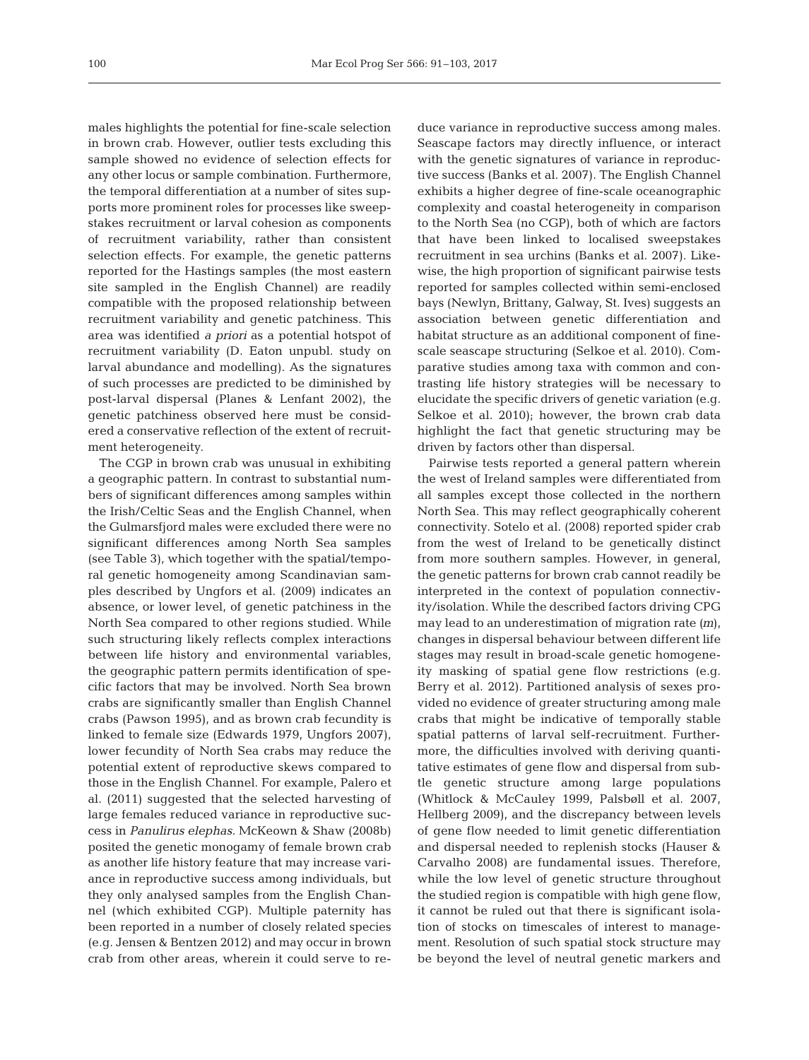males highlights the potential for fine-scale selection in brown crab. However, outlier tests excluding this sample showed no evidence of selection effects for any other locus or sample combination. Furthermore, the temporal differentiation at a number of sites supports more prominent roles for processes like sweepstakes recruitment or larval cohesion as components of recruitment variability, rather than consistent selection effects. For example, the genetic patterns reported for the Hastings samples (the most eastern site sampled in the English Channel) are readily compatible with the proposed relationship between recruitment variability and genetic patchiness. This area was identified *a priori* as a potential hotspot of recruitment variability (D. Eaton unpubl. study on larval abundance and modelling). As the signatures of such processes are predicted to be diminished by post-larval dispersal (Planes & Lenfant 2002), the genetic patchiness observed here must be considered a conservative reflection of the extent of recruitment heterogeneity.

The CGP in brown crab was unusual in exhibiting a geographic pattern. In contrast to substantial numbers of significant differences among samples within the Irish/Celtic Seas and the English Channel, when the Gulmarsfjord males were excluded there were no significant differences among North Sea samples (see Table 3), which together with the spatial/temporal genetic homogeneity among Scandinavian samples described by Ungfors et al. (2009) indicates an absence, or lower level, of genetic patchiness in the North Sea compared to other regions studied. While such structuring likely reflects complex interactions between life history and environmental variables, the geographic pattern permits identification of specific factors that may be involved. North Sea brown crabs are significantly smaller than English Channel crabs (Pawson 1995), and as brown crab fecundity is linked to female size (Edwards 1979, Ungfors 2007), lower fecundity of North Sea crabs may reduce the potential extent of reproductive skews compared to those in the English Channel. For example, Palero et al. (2011) suggested that the selected harvesting of large females reduced variance in reproductive success in *Panulirus elephas*. McKeown & Shaw (2008b) posited the genetic monogamy of female brown crab as another life history feature that may increase variance in reproductive success among individuals, but they only analysed samples from the English Channel (which exhibited CGP). Multiple paternity has been reported in a number of closely related species (e.g. Jensen & Bentzen 2012) and may occur in brown crab from other areas, wherein it could serve to reduce variance in reproductive success among males. Seascape factors may directly influence, or interact with the genetic signatures of variance in reproductive success (Banks et al. 2007). The English Channel exhibits a higher degree of fine-scale oceanographic complexity and coastal heterogeneity in comparison to the North Sea (no CGP), both of which are factors that have been linked to localised sweepstakes recruitment in sea urchins (Banks et al. 2007). Likewise, the high proportion of significant pairwise tests reported for samples collected within semi-enclosed bays (Newlyn, Brittany, Galway, St. Ives) suggests an association between genetic differentiation and habitat structure as an additional component of finescale seascape structuring (Selkoe et al. 2010). Comparative studies among taxa with common and contrasting life history strategies will be necessary to elucidate the specific drivers of genetic variation (e.g. Selkoe et al. 2010); however, the brown crab data highlight the fact that genetic structuring may be driven by factors other than dispersal.

Pairwise tests reported a general pattern wherein the west of Ireland samples were differentiated from all samples except those collected in the northern North Sea. This may reflect geographically coherent connectivity. Sotelo et al. (2008) reported spider crab from the west of Ireland to be genetically distinct from more southern samples. However, in general, the genetic patterns for brown crab cannot readily be interpreted in the context of population connectivity/isolation. While the described factors driving CPG may lead to an underestimation of migration rate *(m*), changes in dispersal behaviour between different life stages may result in broad-scale genetic homogeneity masking of spatial gene flow restrictions (e.g. Berry et al. 2012). Partitioned analysis of sexes provided no evidence of greater structuring among male crabs that might be indicative of temporally stable spatial patterns of larval self-recruitment. Furthermore, the difficulties involved with deriving quantitative estimates of gene flow and dispersal from subtle genetic structure among large populations (Whitlock & McCauley 1999, Palsbøll et al. 2007, Hellberg 2009), and the discrepancy between levels of gene flow needed to limit genetic differentiation and dispersal needed to replenish stocks (Hauser & Carvalho 2008) are fundamental issues. Therefore, while the low level of genetic structure throughout the studied region is compatible with high gene flow, it cannot be ruled out that there is significant isolation of stocks on timescales of interest to management. Resolution of such spatial stock structure may be beyond the level of neutral genetic markers and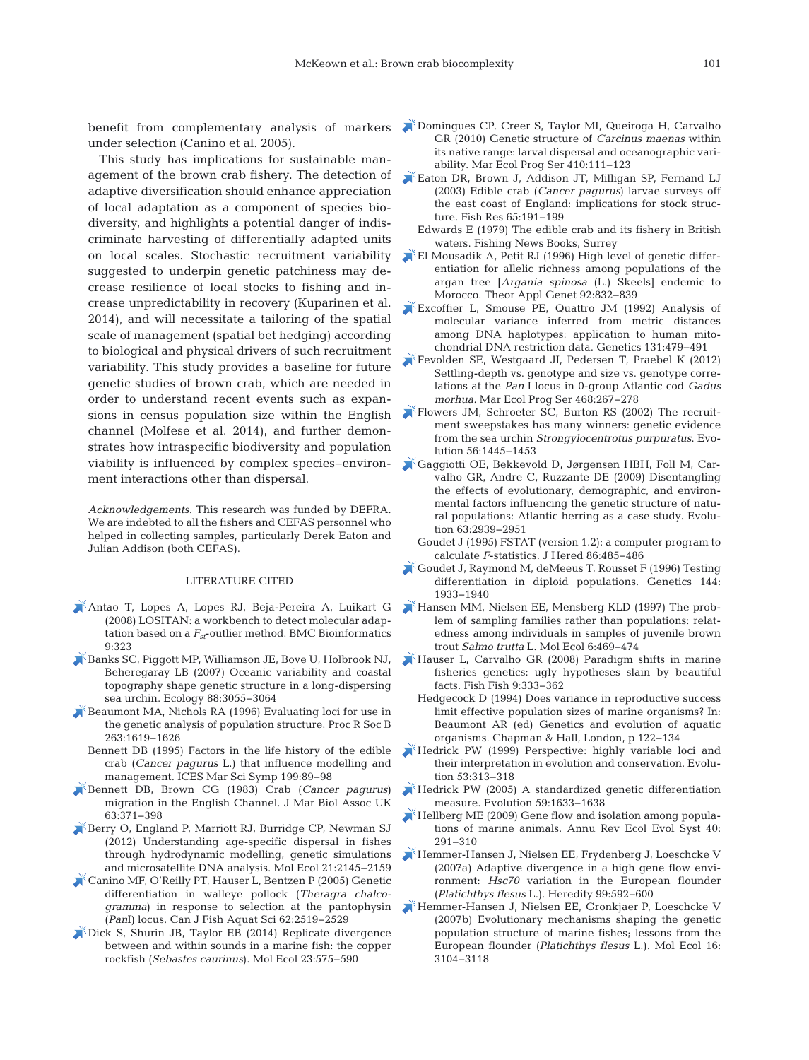under selection (Canino et al. 2005).

This study has implications for sustainable management of the brown crab fishery. The detection of adaptive diversification should enhance appreciation of local adaptation as a component of species bio diversity, and highlights a potential danger of indiscriminate harvesting of differentially adapted units on local scales. Stochastic recruitment variability suggested to underpin genetic patchiness may de crease resilience of local stocks to fishing and in crease unpredictability in recovery (Kuparinen et al. 2014), and will necessitate a tailoring of the spatial scale of management (spatial bet hedging) according to biological and physical drivers of such recruitment variability. This study provides a baseline for future genetic studies of brown crab, which are needed in order to understand recent events such as expansions in census population size within the English channel (Molfese et al. 2014), and further demonstrates how intraspecific biodiversity and population viability is influenced by complex species−environment interactions other than dispersal.

*Acknowledgements*. This research was funded by DEFRA. We are indebted to all the fishers and CEFAS personnel who helped in collecting samples, particularly Derek Eaton and Julian Addison (both CEFAS).

#### LITERATURE CITED

- [Antao T, Lopes A, Lopes RJ, Beja-Pereira A, Luikart G](https://doi.org/10.1186/1471-2105-9-323) (2008) LOSITAN:a workbench to detect molecular adaptation based on a *Fst*-outlier method. BMC Bioinformatics 9: 323
- [Banks SC, Piggott MP, Williamson JE, Bove U, Holbrook NJ,](https://doi.org/10.1890/07-0091.1) Beheregaray LB (2007) Oceanic variability and coastal topography shape genetic structure in a long-dispersing sea urchin. Ecology 88: 3055−3064
- [Beaumont MA, Nichols RA \(1996\) Evaluating loci for use in](https://doi.org/10.1098/rspb.1996.0237) the genetic analysis of population structure. Proc R Soc B 263: 1619−1626
	- Bennett DB (1995) Factors in the life history of the edible crab (*Cancer pagurus* L.) that influence modelling and management. ICES Mar Sci Symp 199: 89−98
- [Bennett DB, Brown CG \(1983\) Crab \(](https://doi.org/10.1017/S0025315400070740)*Cancer pagurus*) migration in the English Channel. J Mar Biol Assoc UK 63: 371−398
- [Berry O, England P, Marriott RJ, Burridge CP, Newman SJ](https://doi.org/10.1111/j.1365-294X.2012.05520.x) (2012) Understanding age-specific dispersal in fishes through hydrodynamic modelling, genetic simulations and microsatellite DNA analysis. Mol Ecol 21:2145-2159
- [Canino MF, O'Reilly PT, Hauser L, Bentzen P \(2005\) Genetic](https://doi.org/10.1139/f05-155) differentiation in walleye pollock (*Theragra chalco gramma*) in response to selection at the pantophysin (*Pan*I) locus. Can J Fish Aquat Sci 62: 2519−2529
- [Dick S, Shurin JB, Taylor EB \(2014\) Replicate divergence](https://doi.org/10.1111/mec.12630) between and within sounds in a marine fish: the copper rockfish (*Sebastes caurinus*). Mol Ecol 23: 575−590
- benefit from complementary analysis of markers **N**[Domingues CP, Creer S, Taylor MI, Queiroga H, Carvalho](https://doi.org/10.3354/meps08610) GR (2010) Genetic structure of *Carcinus maenas* within its native range: larval dispersal and oceanographic variability. Mar Ecol Prog Ser 410: 111−123
	- [Eaton DR, Brown J, Addison JT, Milligan SP, Fernand LJ](https://doi.org/10.1016/j.fishres.2003.09.036) (2003) Edible crab (*Cancer pagurus*) larvae surveys off the east coast of England: implications for stock structure. Fish Res 65: 191−199
		- Edwards E (1979) The edible crab and its fishery in British waters. Fishing News Books, Surrey
	- [El Mousadik A, Petit RJ \(1996\) High level of genetic differ](https://doi.org/10.1007/BF00221895)entiation for allelic richness among populations of the argan tree [*Argania spinosa* (L.) Skeels] endemic to Morocco. Theor Appl Genet 92:832-839
	- [Excoffier L, Smouse PE, Quattro JM \(1992\) Analysis of](http://www.ncbi.nlm.nih.gov/entrez/query.fcgi?cmd=Retrieve&db=PubMed&list_uids=1644282&dopt=Abstract) molecular variance inferred from metric distances among DNA haplotypes: application to human mitochondrial DNA restriction data. Genetics 131: 479−491
	- [Fevolden SE, Westgaard JI, Pedersen T, Praebel K \(2012\)](https://doi.org/10.3354/meps09990) Settling-depth vs. genotype and size vs. genotype correlations at the *Pan* I locus in 0-group Atlantic cod *Gadus morhua.* Mar Ecol Prog Ser 468:267-278
	- [Flowers JM, Schroeter SC, Burton RS \(2002\) The recruit](https://doi.org/10.1111/j.0014-3820.2002.tb01456.x)ment sweepstakes has many winners: genetic evidence from the sea urchin *Strongylocentrotus purpuratus*. Evolution 56: 1445−1453
	- [Gaggiotti OE, Bekkevold D, Jørgensen HBH, Foll M, Car](https://doi.org/10.1111/j.1558-5646.2009.00779.x)valho GR, Andre C, Ruzzante DE (2009) Disentangling the effects of evolutionary, demographic, and environmental factors influencing the genetic structure of natural populations: Atlantic herring as a case study. Evolution 63:2939-2951
	- Goudet J (1995) FSTAT (version 1.2): a computer program to calculate *F*-statistics. J Hered 86: 485−486
	- [Goudet J, Raymond M, deMeeus T, Rousset F \(1996\) Testing](http://www.ncbi.nlm.nih.gov/entrez/query.fcgi?cmd=Retrieve&db=PubMed&list_uids=8978076&dopt=Abstract) differentiation in diploid populations. Genetics 144: 1933−1940
	- [Hansen MM, Nielsen EE, Mensberg KLD \(1997\) The prob](https://doi.org/10.1046/j.1365-294X.1997.t01-1-00202.x)lem of sampling families rather than populations: relatedness among individuals in samples of juvenile brown trout *Salmo trutta* L. Mol Ecol 6: 469−474
	- [Hauser L, Carvalho GR \(2008\) Paradigm shifts in marine](https://doi.org/10.1111/j.1467-2979.2008.00299.x) fisheries genetics: ugly hypotheses slain by beautiful facts. Fish Fish 9: 333−362
		- Hedgecock D (1994) Does variance in reproductive success limit effective population sizes of marine organisms? In: Beaumont AR (ed) Genetics and evolution of aquatic organisms. Chapman & Hall, London, p 122−134
	- Hedrick PW (1999) Perspective: highly variable loci and their interpretation in evolution and conservation. Evolution 53:313-318
	- [Hedrick PW \(2005\) A standardized genetic differentiation](https://doi.org/10.1111/j.0014-3820.2005.tb01814.x) measure. Evolution 59: 1633−1638
	- [Hellberg ME \(2009\) Gene flow and isolation among popula](https://doi.org/10.1146/annurev.ecolsys.110308.120223)tions of marine animals. Annu Rev Ecol Evol Syst 40: 291−310
	- [Hemmer-Hansen J, Nielsen EE, Frydenberg J, Loeschcke V](https://doi.org/10.1038/sj.hdy.6801055) (2007a) Adaptive divergence in a high gene flow environment: *Hsc70* variation in the European flounder (*Platichthys flesus* L.). Heredity 99: 592−600
	- [Hemmer-Hansen J, Nielsen EE, Gronkjaer P, Loeschcke V](https://doi.org/10.1111/j.1365-294X.2007.03367.x) (2007b) Evolutionary mechanisms shaping the genetic population structure of marine fishes; lessons from the European flounder (*Platichthys flesus* L.). Mol Ecol 16: 3104−3118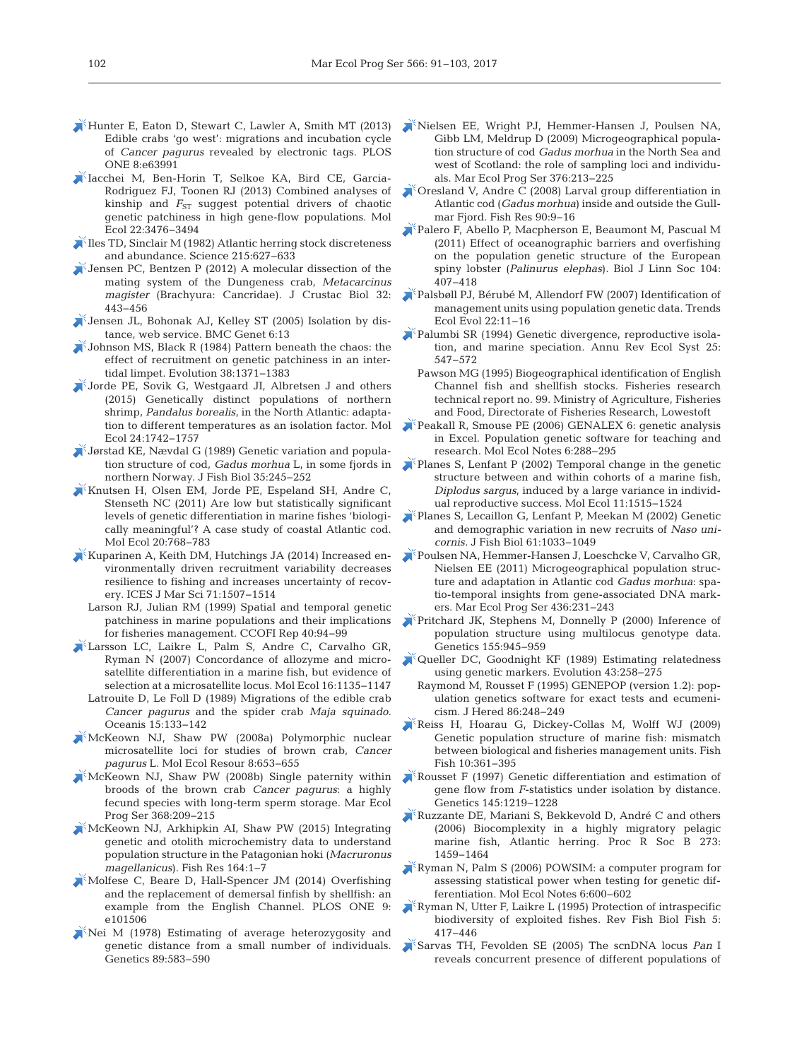- [Hunter E, Eaton D, Stewart C, Lawler A, Smith MT \(2013\)](https://doi.org/10.1371/journal.pone.0063991) Edible crabs 'go west': migrations and incubation cycle of *Cancer pagurus* revealed by electronic tags. PLOS ONE 8:e63991
- [Iacchei M, Ben-Horin T, Selkoe KA, Bird CE, Garcia-](https://doi.org/10.1111/mec.12341)Rodriguez FJ, Toonen RJ (2013) Combined analyses of kinship and  $F_{ST}$  suggest potential drivers of chaotic genetic patchiness in high gene-flow populations. Mol Ecol 22: 3476−3494
- [Iles TD, Sinclair M \(1982\) Atlantic herring stock discreteness](https://doi.org/10.1126/science.215.4533.627) and abundance. Science 215: 627−633
- [Jensen PC, Bentzen P \(2012\) A molecular dissection of the](https://doi.org/10.1163/193724012X626458) mating system of the Dungeness crab, *Metacarcinus magister* (Brachyura: Cancridae). J Crustac Biol 32: 443−456
- $\blacktriangleright$  [Jensen JL, Bohonak AJ, Kelley ST \(2005\) Isolation by dis](https://doi.org/10.1186/1471-2156-6-13)tance, web service. BMC Genet 6:13
- $\blacktriangleright$  Johnson MS, Black R (1984) Pattern beneath the chaos: the effect of recruitment on genetic patchiness in an intertidal limpet. Evolution 38: 1371−1383
- [Jorde PE, Sovik G, Westgaard JI, Albretsen J and others](https://doi.org/10.1111/mec.13158) (2015) Genetically distinct populations of northern shrimp, *Pandalus borealis*, in the North Atlantic: adaptation to different temperatures as an isolation factor. Mol Ecol 24: 1742−1757
- [Jørstad KE, Nævdal G \(1989\) Genetic variation and popula](https://doi.org/10.1111/j.1095-8649.1989.tb03067.x)tion structure of cod, *Gadus morhua* L, in some fjords in northern Norway. J Fish Biol 35: 245−252
- [Knutsen H, Olsen EM, Jorde PE, Espeland SH, Andre C,](https://doi.org/10.1111/j.1365-294X.2010.04979.x) Stenseth NC (2011) Are low but statistically significant levels of genetic differentiation in marine fishes 'biologically meaningful'? A case study of coastal Atlantic cod. Mol Ecol 20:768-783
- [Kuparinen A, Keith DM, Hutchings JA \(2014\) Increased en](https://doi.org/10.1093/icesjms/fsu021)  vironmentally driven recruitment variability decreases resilience to fishing and increases uncertainty of recovery. ICES J Mar Sci 71: 1507−1514
	- Larson RJ, Julian RM (1999) Spatial and temporal genetic patchiness in marine populations and their implications for fisheries management. CCOFI Rep 40:94-99
- [Larsson LC, Laikre L, Palm S, Andre C, Carvalho GR,](https://doi.org/10.1111/j.1365-294X.2006.03217.x) Ryman N (2007) Concordance of allozyme and microsatellite differentiation in a marine fish, but evidence of selection at a microsatellite locus. Mol Ecol 16: 1135−1147
- Latrouite D, Le Foll D (1989) Migrations of the edible crab *Cancer pagurus* and the spider crab *Maja squinado.* Oceanis 15: 133−142
- [McKeown NJ, Shaw PW \(2008a\) Polymorphic nuclear](https://doi.org/10.1111/j.1471-8286.2007.02033.x) microsatellite loci for studies of brown crab, *Cancer pagurus* L. Mol Ecol Resour 8: 653−655
- [McKeown NJ, Shaw PW \(2008b\) Single paternity within](https://doi.org/10.3354/meps07634) broods of the brown crab *Cancer pagurus*:a highly fecund species with long-term sperm storage. Mar Ecol Prog Ser 368:209-215
- [McKeown NJ, Arkhipkin AI, Shaw PW \(2015\) Integrating](https://doi.org/10.1016/j.fishres.2014.10.004) genetic and otolith microchemistry data to understand population structure in the Patagonian hoki (*Macruronus magellanicus*). Fish Res 164:1-7
- [Molfese C, Beare D, Hall-Spencer JM \(2014\) Overfishing](https://doi.org/10.1371/journal.pone.0101506) and the replacement of demersal finfish by shellfish: an example from the English Channel. PLOS ONE 9: e101506
- [Nei M \(1978\) Estimating of average heterozygosity and](http://www.ncbi.nlm.nih.gov/entrez/query.fcgi?cmd=Retrieve&db=PubMed&list_uids=17248844&dopt=Abstract) genetic distance from a small number of individuals. Genetics 89:583-590
- [Nielsen EE, Wright PJ, Hemmer-Hansen J, Poulsen NA,](https://doi.org/10.3354/meps07798) Gibb LM, Meldrup D (2009) Microgeographical population structure of cod *Gadus morhua* in the North Sea and west of Scotland: the role of sampling loci and individuals. Mar Ecol Prog Ser 376: 213−225
- [Oresland V, Andre C \(2008\) Larval group differentiation in](https://doi.org/10.1016/j.fishres.2007.09.008) Atlantic cod (*Gadus morhua*) inside and outside the Gullmar Fjord. Fish Res 90:9-16
- [Palero F, Abello P, Macpherson E, Beaumont M, Pascual M](https://doi.org/10.1111/j.1095-8312.2011.01728.x) (2011) Effect of oceanographic barriers and overfishing on the population genetic structure of the European spiny lobster (*Palinurus elephas*). Biol J Linn Soc 104: 407−418
- [Palsbøll PJ, Bérubé M, Allendorf FW \(2007\) Identification of](https://doi.org/10.1016/j.tree.2006.09.003) management units using population genetic data. Trends Ecol Evol 22: 11−16
- [Palumbi SR \(1994\) Genetic divergence, reproductive isola](https://doi.org/10.1146/annurev.es.25.110194.002555)tion, and marine speciation. Annu Rev Ecol Syst 25: 547−572
- Pawson MG (1995) Biogeographical identification of English Channel fish and shellfish stocks. Fisheries research technical report no. 99. Ministry of Agriculture, Fisheries and Food, Directorate of Fisheries Research, Lowestoft
- Peakall R, Smouse PE (2006) GENALEX 6: genetic analysis in Excel. Population genetic software for teaching and research. Mol Ecol Notes 6: 288−295
- [Planes S, Lenfant P \(2002\) Temporal change in the genetic](https://doi.org/10.1046/j.1365-294X.2002.01521.x) structure between and within cohorts of a marine fish, *Diplodus sargus*, induced by a large variance in individual reproductive success. Mol Ecol 11: 1515−1524
- [Planes S, Lecaillon G, Lenfant P, Meekan M \(2002\) Genetic](https://doi.org/10.1111/j.1095-8649.2002.tb01861.x) and demographic variation in new recruits of *Naso unicornis.* J Fish Biol 61: 1033−1049
- [Poulsen NA, Hemmer-Hansen J, Loeschcke V, Carvalho GR,](https://doi.org/10.3354/meps09246) Nielsen EE (2011) Microgeographical population structure and adaptation in Atlantic cod *Gadus morhua*: spatio-temporal insights from gene-associated DNA markers. Mar Ecol Prog Ser 436:231-243
- [Pritchard JK, Stephens M, Donnelly P \(2000\) Inference of](http://www.ncbi.nlm.nih.gov/entrez/query.fcgi?cmd=Retrieve&db=PubMed&list_uids=10835412&dopt=Abstract) population structure using multilocus genotype data. Genetics 155: 945−959
- [Queller DC, Goodnight KF \(1989\) Estimating relatedness](https://doi.org/10.2307/2409206) using genetic markers. Evolution 43: 258−275
	- Raymond M, Rousset F (1995) GENEPOP (version 1.2): population genetics software for exact tests and ecumenicism. J Hered 86: 248−249
- [Reiss H, Hoarau G, Dickey-Collas M, Wolff WJ \(2009\)](https://doi.org/10.1111/j.1467-2979.2008.00324.x) Genetic population structure of marine fish: mismatch between biological and fisheries management units. Fish Fish 10: 361−395
- [Rousset F \(1997\) Genetic differentiation and estimation of](http://www.ncbi.nlm.nih.gov/entrez/query.fcgi?cmd=Retrieve&db=PubMed&list_uids=9093870&dopt=Abstract) gene flow from *F*-statistics under isolation by distance. Genetics 145: 1219−1228
- [Ruzzante DE, Mariani S, Bekkevold D, André C and others](https://doi.org/10.1098/rspb.2005.3463) (2006) Biocomplexity in a highly migratory pelagic marine fish, Atlantic herring. Proc R Soc B 273: 1459−1464
- [Ryman N, Palm S \(2006\) POWSIM:a computer program for](https://doi.org/10.1111/j.1471-8286.2006.01378.x) assessing statistical power when testing for genetic differentiation. Mol Ecol Notes 6: 600−602
- [Ryman N, Utter F, Laikre L \(1995\) Protection of intraspecific](https://doi.org/10.1007/BF01103814) biodiversity of exploited fishes. Rev Fish Biol Fish 5: 417−446
- [Sarvas TH, Fevolden SE \(2005\) The scnDNA locus](https://doi.org/10.1016/j.fishres.2005.07.013) *Pan* I reveals concurrent presence of different populations of